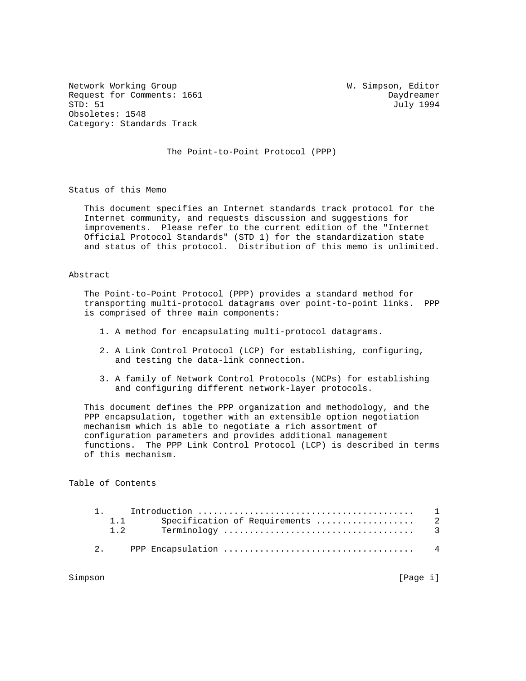Network Working Group W. Simpson, Editor Request for Comments: 1661 Daydreamer Obsoletes: 1548 Category: Standards Track

July 1994

# The Point-to-Point Protocol (PPP)

Status of this Memo

 This document specifies an Internet standards track protocol for the Internet community, and requests discussion and suggestions for improvements. Please refer to the current edition of the "Internet Official Protocol Standards" (STD 1) for the standardization state and status of this protocol. Distribution of this memo is unlimited.

# Abstract

 The Point-to-Point Protocol (PPP) provides a standard method for transporting multi-protocol datagrams over point-to-point links. PPP is comprised of three main components:

- 1. A method for encapsulating multi-protocol datagrams.
- 2. A Link Control Protocol (LCP) for establishing, configuring, and testing the data-link connection.
- 3. A family of Network Control Protocols (NCPs) for establishing and configuring different network-layer protocols.

 This document defines the PPP organization and methodology, and the PPP encapsulation, together with an extensible option negotiation mechanism which is able to negotiate a rich assortment of configuration parameters and provides additional management functions. The PPP Link Control Protocol (LCP) is described in terms of this mechanism.

Table of Contents

| 1.1 |  |
|-----|--|
| 1.2 |  |
|     |  |

Simpson [Page i]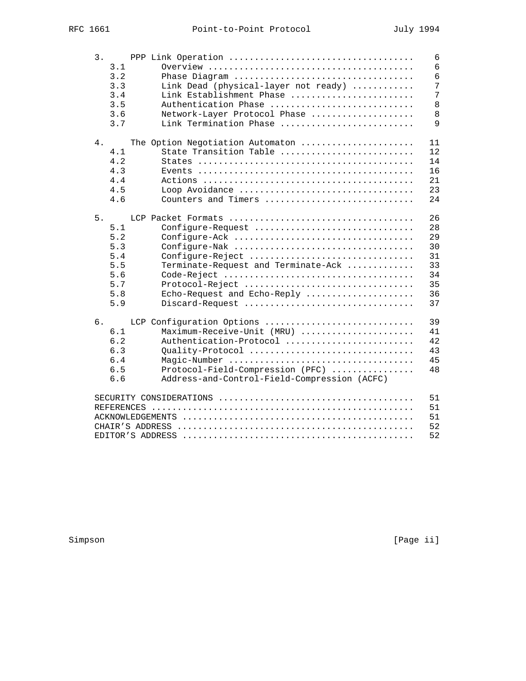| 3.                                             |                                                                                                                                                                                            | 6                                |
|------------------------------------------------|--------------------------------------------------------------------------------------------------------------------------------------------------------------------------------------------|----------------------------------|
| 3.1                                            |                                                                                                                                                                                            | 6                                |
| 3.2                                            |                                                                                                                                                                                            | 6                                |
| 3.3                                            | Link Dead (physical-layer not ready)                                                                                                                                                       | 7                                |
| 3.4                                            | Link Establishment Phase                                                                                                                                                                   | 7                                |
| 3.5                                            | Authentication Phase                                                                                                                                                                       | 8                                |
| 3.6                                            | Network-Layer Protocol Phase                                                                                                                                                               | 8                                |
| 3.7                                            | Link Termination Phase                                                                                                                                                                     | 9                                |
| 4.                                             | The Option Negotiation Automaton                                                                                                                                                           | 11                               |
| 4.1                                            | State Transition Table                                                                                                                                                                     | 12                               |
| 4.2                                            |                                                                                                                                                                                            | 14                               |
| 4.3                                            |                                                                                                                                                                                            | 16                               |
| 4.4                                            |                                                                                                                                                                                            | 21                               |
| 4.5                                            | Loop Avoidance                                                                                                                                                                             | 23                               |
| 4.6                                            | Counters and Timers                                                                                                                                                                        | 24                               |
| 5.                                             |                                                                                                                                                                                            | 26                               |
| 5.1                                            | Configure-Request                                                                                                                                                                          | 28                               |
| 5.2                                            | Configure-Ack                                                                                                                                                                              | 29                               |
| 5.3                                            | Configure-Nak                                                                                                                                                                              | 30                               |
| 5.4                                            | Configure-Reject                                                                                                                                                                           | 31                               |
| 5.5                                            | Terminate-Request and Terminate-Ack                                                                                                                                                        | 33                               |
| 5.6                                            |                                                                                                                                                                                            | 34                               |
| 5.7                                            | Protocol-Reject                                                                                                                                                                            | 35                               |
| 5.8                                            | Echo-Request and Echo-Reply                                                                                                                                                                | 36                               |
| 5.9                                            | Discard-Request                                                                                                                                                                            | 37                               |
| б.<br>6.1<br>6.2<br>6.3<br>6.4<br>$6.5$<br>6.6 | LCP Configuration Options<br>Maximum-Receive-Unit (MRU)<br>Authentication-Protocol<br>Quality-Protocol<br>Protocol-Field-Compression (PFC)<br>Address-and-Control-Field-Compression (ACFC) | 39<br>41<br>42<br>43<br>45<br>48 |
|                                                |                                                                                                                                                                                            | 51<br>51<br>51<br>52<br>52       |

Simpson [Page ii]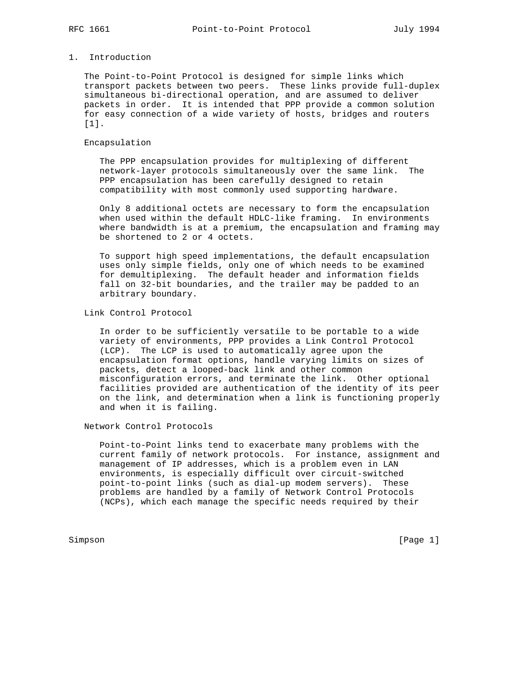# 1. Introduction

 The Point-to-Point Protocol is designed for simple links which transport packets between two peers. These links provide full-duplex simultaneous bi-directional operation, and are assumed to deliver packets in order. It is intended that PPP provide a common solution for easy connection of a wide variety of hosts, bridges and routers [1].

#### Encapsulation

 The PPP encapsulation provides for multiplexing of different network-layer protocols simultaneously over the same link. The PPP encapsulation has been carefully designed to retain compatibility with most commonly used supporting hardware.

 Only 8 additional octets are necessary to form the encapsulation when used within the default HDLC-like framing. In environments where bandwidth is at a premium, the encapsulation and framing may be shortened to 2 or 4 octets.

 To support high speed implementations, the default encapsulation uses only simple fields, only one of which needs to be examined for demultiplexing. The default header and information fields fall on 32-bit boundaries, and the trailer may be padded to an arbitrary boundary.

# Link Control Protocol

 In order to be sufficiently versatile to be portable to a wide variety of environments, PPP provides a Link Control Protocol (LCP). The LCP is used to automatically agree upon the encapsulation format options, handle varying limits on sizes of packets, detect a looped-back link and other common misconfiguration errors, and terminate the link. Other optional facilities provided are authentication of the identity of its peer on the link, and determination when a link is functioning properly and when it is failing.

# Network Control Protocols

 Point-to-Point links tend to exacerbate many problems with the current family of network protocols. For instance, assignment and management of IP addresses, which is a problem even in LAN environments, is especially difficult over circuit-switched point-to-point links (such as dial-up modem servers). These problems are handled by a family of Network Control Protocols (NCPs), which each manage the specific needs required by their

Simpson [Page 1] [Page 1] [Page 1] [Page 1] [Page 1] [Page 1] [Page 1] [Page 1] [Page 1] [Page 1] [Page 1] [Page 1] [Page 1] [Page 1] [Page 1] [Page 1] [Page 1] [Page 1] [Page 1] [Page 1] [Page 1] [Page 1] [Page 1] [Page 1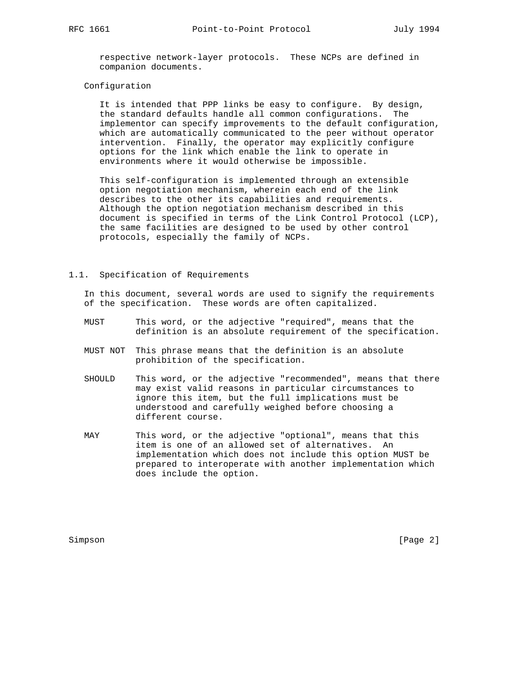respective network-layer protocols. These NCPs are defined in companion documents.

#### Configuration

 It is intended that PPP links be easy to configure. By design, the standard defaults handle all common configurations. The implementor can specify improvements to the default configuration, which are automatically communicated to the peer without operator intervention. Finally, the operator may explicitly configure options for the link which enable the link to operate in environments where it would otherwise be impossible.

 This self-configuration is implemented through an extensible option negotiation mechanism, wherein each end of the link describes to the other its capabilities and requirements. Although the option negotiation mechanism described in this document is specified in terms of the Link Control Protocol (LCP), the same facilities are designed to be used by other control protocols, especially the family of NCPs.

# 1.1. Specification of Requirements

 In this document, several words are used to signify the requirements of the specification. These words are often capitalized.

- MUST This word, or the adjective "required", means that the definition is an absolute requirement of the specification.
- MUST NOT This phrase means that the definition is an absolute prohibition of the specification.
- SHOULD This word, or the adjective "recommended", means that there may exist valid reasons in particular circumstances to ignore this item, but the full implications must be understood and carefully weighed before choosing a different course.
- MAY This word, or the adjective "optional", means that this item is one of an allowed set of alternatives. An implementation which does not include this option MUST be prepared to interoperate with another implementation which does include the option.

Simpson [Page 2]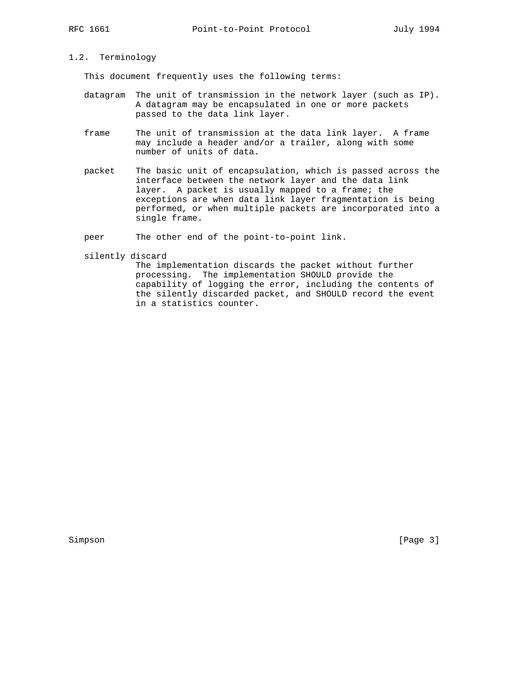# 1.2. Terminology

This document frequently uses the following terms:

- datagram The unit of transmission in the network layer (such as IP). A datagram may be encapsulated in one or more packets passed to the data link layer.
- frame The unit of transmission at the data link layer. A frame may include a header and/or a trailer, along with some number of units of data.
- packet The basic unit of encapsulation, which is passed across the interface between the network layer and the data link layer. A packet is usually mapped to a frame; the exceptions are when data link layer fragmentation is being performed, or when multiple packets are incorporated into a single frame.

peer The other end of the point-to-point link.

silently discard

 The implementation discards the packet without further processing. The implementation SHOULD provide the capability of logging the error, including the contents of the silently discarded packet, and SHOULD record the event in a statistics counter.

Simpson [Page 3]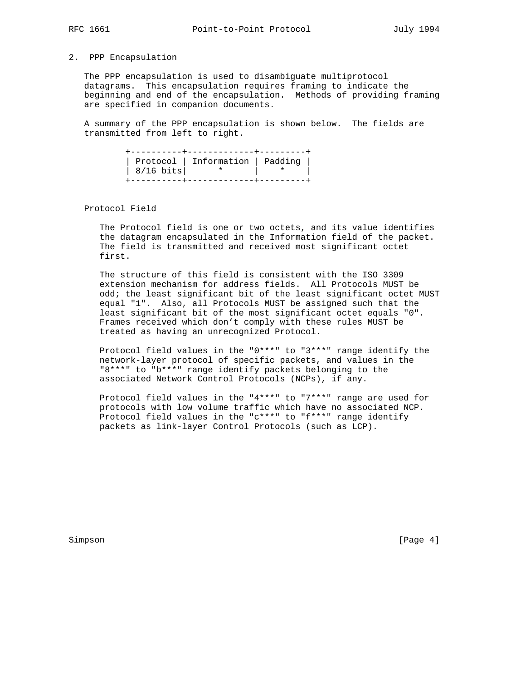# 2. PPP Encapsulation

 The PPP encapsulation is used to disambiguate multiprotocol datagrams. This encapsulation requires framing to indicate the beginning and end of the encapsulation. Methods of providing framing are specified in companion documents.

 A summary of the PPP encapsulation is shown below. The fields are transmitted from left to right.

|           | Protocol   Information   Padding |  |
|-----------|----------------------------------|--|
| 8/16 bits | $\star$                          |  |
|           |                                  |  |

# Protocol Field

 The Protocol field is one or two octets, and its value identifies the datagram encapsulated in the Information field of the packet. The field is transmitted and received most significant octet first.

 The structure of this field is consistent with the ISO 3309 extension mechanism for address fields. All Protocols MUST be odd; the least significant bit of the least significant octet MUST equal "1". Also, all Protocols MUST be assigned such that the least significant bit of the most significant octet equals "0". Frames received which don't comply with these rules MUST be treated as having an unrecognized Protocol.

 Protocol field values in the "0\*\*\*" to "3\*\*\*" range identify the network-layer protocol of specific packets, and values in the "8\*\*\*" to "b\*\*\*" range identify packets belonging to the associated Network Control Protocols (NCPs), if any.

 Protocol field values in the "4\*\*\*" to "7\*\*\*" range are used for protocols with low volume traffic which have no associated NCP. Protocol field values in the "c\*\*\*" to "f\*\*\*" range identify packets as link-layer Control Protocols (such as LCP).

Simpson [Page 4] [Page 4] [Page 4] [Page 4] [Page 4] [Page 4] [Page 4] [Page 4] [Page 4] [Page 4] [Page 4] [Page 4] [Page 4] [Page 4] [Page 4] [Page 4] [Page 4] [Page 4] [Page 4] [Page 4] [Page 4] [Page 4] [Page 4] [Page 4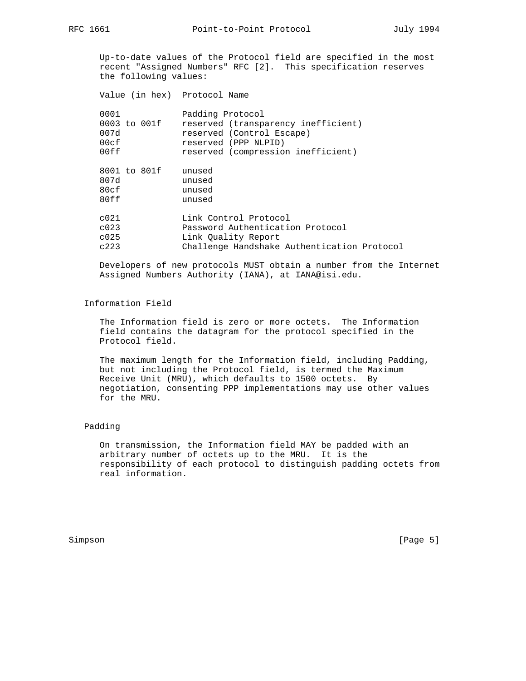Up-to-date values of the Protocol field are specified in the most recent "Assigned Numbers" RFC [2]. This specification reserves the following values:

| Value (in hex) Protocol Name |                                             |
|------------------------------|---------------------------------------------|
| 0001                         | Padding Protocol                            |
| 0003 to 001f                 | reserved (transparency inefficient)         |
| 007d                         | reserved (Control Escape)                   |
| 00cf                         | reserved (PPP NLPID)                        |
| 00ff                         | reserved (compression inefficient)          |
| 8001 to 801f                 | unused                                      |
| 807d                         | unused                                      |
| 80cf                         | unused                                      |
| 80ff                         | unused                                      |
| c021                         | Link Control Protocol                       |
| c023                         | Password Authentication Protocol            |
| c025                         | Link Quality Report                         |
| c223                         | Challenge Handshake Authentication Protocol |

 Developers of new protocols MUST obtain a number from the Internet Assigned Numbers Authority (IANA), at IANA@isi.edu.

# Information Field

 The Information field is zero or more octets. The Information field contains the datagram for the protocol specified in the Protocol field.

 The maximum length for the Information field, including Padding, but not including the Protocol field, is termed the Maximum Receive Unit (MRU), which defaults to 1500 octets. By negotiation, consenting PPP implementations may use other values for the MRU.

# Padding

 On transmission, the Information field MAY be padded with an arbitrary number of octets up to the MRU. It is the responsibility of each protocol to distinguish padding octets from real information.

Simpson [Page 5]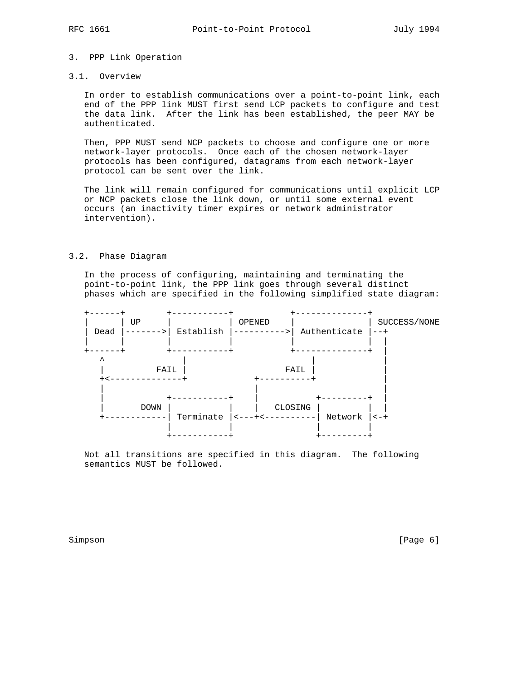#### 3. PPP Link Operation

# 3.1. Overview

 In order to establish communications over a point-to-point link, each end of the PPP link MUST first send LCP packets to configure and test the data link. After the link has been established, the peer MAY be authenticated.

 Then, PPP MUST send NCP packets to choose and configure one or more network-layer protocols. Once each of the chosen network-layer protocols has been configured, datagrams from each network-layer protocol can be sent over the link.

 The link will remain configured for communications until explicit LCP or NCP packets close the link down, or until some external event occurs (an inactivity timer expires or network administrator intervention).

# 3.2. Phase Diagram

 In the process of configuring, maintaining and terminating the point-to-point link, the PPP link goes through several distinct phases which are specified in the following simplified state diagram:



 Not all transitions are specified in this diagram. The following semantics MUST be followed.

Simpson [Page 6] [Page 6] [Page 6] [Page 6] [Page 6] [Page 6] [Page 6] [Page 6] [Page 6] [Page 6] [Page 6] [Page 6] [Page 6] [Page 6] [Page 6] [Page 6] [Page 6] [Page 6] [Page 6] [Page 6] [Page 6] [Page 6] [Page 6] [Page 6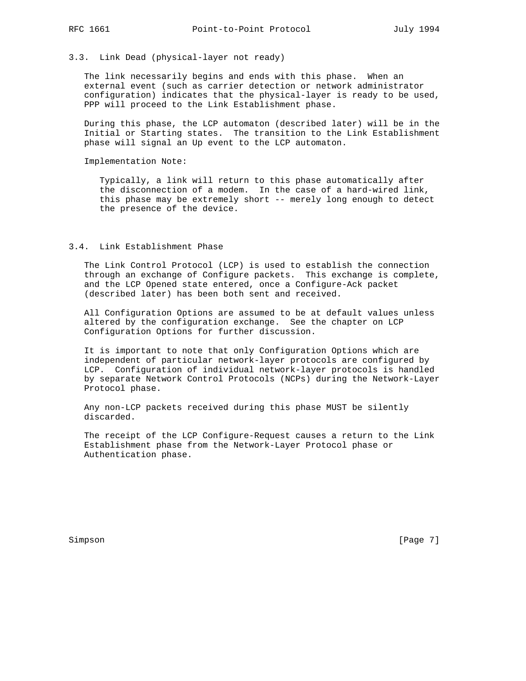# 3.3. Link Dead (physical-layer not ready)

 The link necessarily begins and ends with this phase. When an external event (such as carrier detection or network administrator configuration) indicates that the physical-layer is ready to be used, PPP will proceed to the Link Establishment phase.

 During this phase, the LCP automaton (described later) will be in the Initial or Starting states. The transition to the Link Establishment phase will signal an Up event to the LCP automaton.

Implementation Note:

 Typically, a link will return to this phase automatically after the disconnection of a modem. In the case of a hard-wired link, this phase may be extremely short -- merely long enough to detect the presence of the device.

#### 3.4. Link Establishment Phase

 The Link Control Protocol (LCP) is used to establish the connection through an exchange of Configure packets. This exchange is complete, and the LCP Opened state entered, once a Configure-Ack packet (described later) has been both sent and received.

 All Configuration Options are assumed to be at default values unless altered by the configuration exchange. See the chapter on LCP Configuration Options for further discussion.

 It is important to note that only Configuration Options which are independent of particular network-layer protocols are configured by LCP. Configuration of individual network-layer protocols is handled by separate Network Control Protocols (NCPs) during the Network-Layer Protocol phase.

 Any non-LCP packets received during this phase MUST be silently discarded.

 The receipt of the LCP Configure-Request causes a return to the Link Establishment phase from the Network-Layer Protocol phase or Authentication phase.

Simpson [Page 7]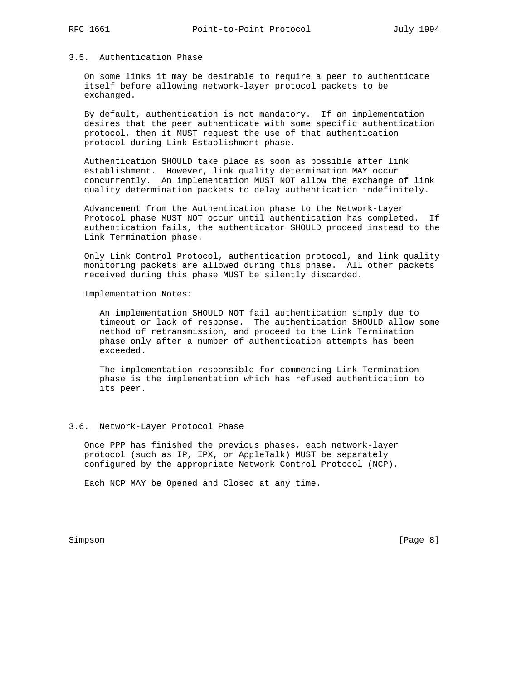#### 3.5. Authentication Phase

 On some links it may be desirable to require a peer to authenticate itself before allowing network-layer protocol packets to be exchanged.

 By default, authentication is not mandatory. If an implementation desires that the peer authenticate with some specific authentication protocol, then it MUST request the use of that authentication protocol during Link Establishment phase.

 Authentication SHOULD take place as soon as possible after link establishment. However, link quality determination MAY occur concurrently. An implementation MUST NOT allow the exchange of link quality determination packets to delay authentication indefinitely.

 Advancement from the Authentication phase to the Network-Layer Protocol phase MUST NOT occur until authentication has completed. If authentication fails, the authenticator SHOULD proceed instead to the Link Termination phase.

 Only Link Control Protocol, authentication protocol, and link quality monitoring packets are allowed during this phase. All other packets received during this phase MUST be silently discarded.

Implementation Notes:

 An implementation SHOULD NOT fail authentication simply due to timeout or lack of response. The authentication SHOULD allow some method of retransmission, and proceed to the Link Termination phase only after a number of authentication attempts has been exceeded.

 The implementation responsible for commencing Link Termination phase is the implementation which has refused authentication to its peer.

#### 3.6. Network-Layer Protocol Phase

 Once PPP has finished the previous phases, each network-layer protocol (such as IP, IPX, or AppleTalk) MUST be separately configured by the appropriate Network Control Protocol (NCP).

Each NCP MAY be Opened and Closed at any time.

Simpson [Page 8]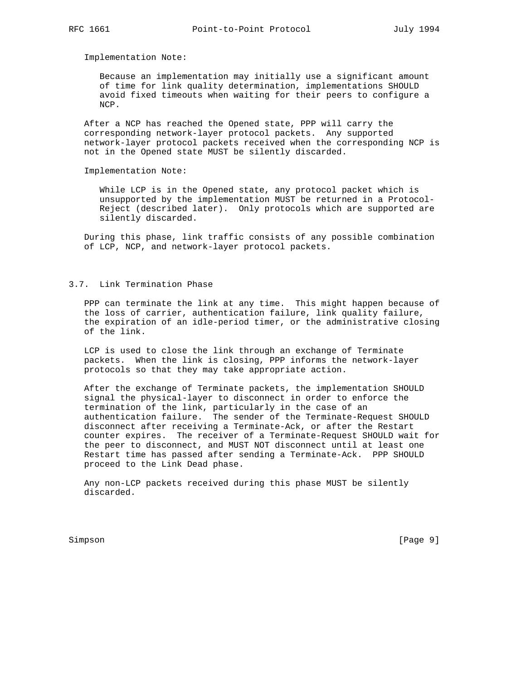Implementation Note:

 Because an implementation may initially use a significant amount of time for link quality determination, implementations SHOULD avoid fixed timeouts when waiting for their peers to configure a NCP.

 After a NCP has reached the Opened state, PPP will carry the corresponding network-layer protocol packets. Any supported network-layer protocol packets received when the corresponding NCP is not in the Opened state MUST be silently discarded.

Implementation Note:

 While LCP is in the Opened state, any protocol packet which is unsupported by the implementation MUST be returned in a Protocol- Reject (described later). Only protocols which are supported are silently discarded.

 During this phase, link traffic consists of any possible combination of LCP, NCP, and network-layer protocol packets.

# 3.7. Link Termination Phase

 PPP can terminate the link at any time. This might happen because of the loss of carrier, authentication failure, link quality failure, the expiration of an idle-period timer, or the administrative closing of the link.

 LCP is used to close the link through an exchange of Terminate packets. When the link is closing, PPP informs the network-layer protocols so that they may take appropriate action.

 After the exchange of Terminate packets, the implementation SHOULD signal the physical-layer to disconnect in order to enforce the termination of the link, particularly in the case of an authentication failure. The sender of the Terminate-Request SHOULD disconnect after receiving a Terminate-Ack, or after the Restart counter expires. The receiver of a Terminate-Request SHOULD wait for the peer to disconnect, and MUST NOT disconnect until at least one Restart time has passed after sending a Terminate-Ack. PPP SHOULD proceed to the Link Dead phase.

 Any non-LCP packets received during this phase MUST be silently discarded.

Simpson [Page 9]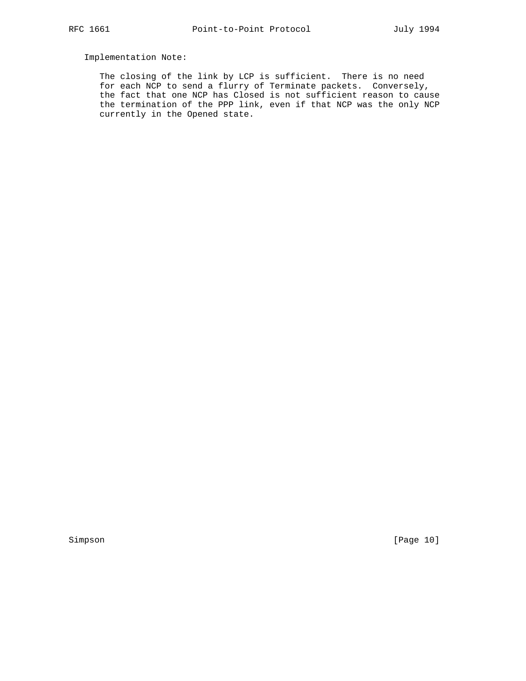# Implementation Note:

 The closing of the link by LCP is sufficient. There is no need for each NCP to send a flurry of Terminate packets. Conversely, the fact that one NCP has Closed is not sufficient reason to cause the termination of the PPP link, even if that NCP was the only NCP currently in the Opened state.

Simpson [Page 10]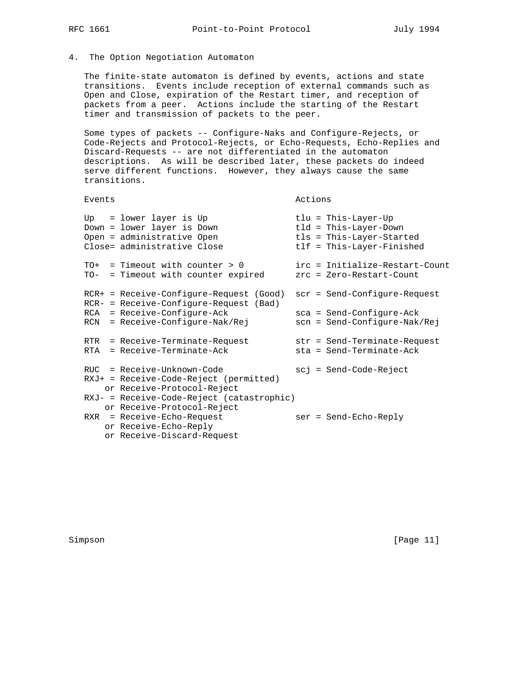### 4. The Option Negotiation Automaton

 The finite-state automaton is defined by events, actions and state transitions. Events include reception of external commands such as Open and Close, expiration of the Restart timer, and reception of packets from a peer. Actions include the starting of the Restart timer and transmission of packets to the peer.

 Some types of packets -- Configure-Naks and Configure-Rejects, or Code-Rejects and Protocol-Rejects, or Echo-Requests, Echo-Replies and Discard-Requests -- are not differentiated in the automaton descriptions. As will be described later, these packets do indeed serve different functions. However, they always cause the same transitions.

Events **Actions** 

| Up  | = lower layer is Up                         |  | $tlu = This-Layer-Up$          |
|-----|---------------------------------------------|--|--------------------------------|
|     | Down = lower layer is Down                  |  | tld = This-Layer-Down          |
|     | Open = administrative Open                  |  | tls = This-Layer-Started       |
|     | Close= administrative Close                 |  | $tlf = This-Layer-Finished$    |
|     | $TO+$ = Timeout with counter > 0            |  | irc = Initialize-Restart-Count |
|     | TO- = Timeout with counter expired          |  | zrc = Zero-Restart-Count       |
|     | $RCR+ = Receive-Confique-Request (Good)$    |  | scr = Send-Configure-Request   |
|     | $RCR - = Receive-Configure-Request (Bad)$   |  |                                |
|     | RCA = Receive-Configure-Ack                 |  | $sca = Send-Configure-Ack$     |
|     | $RCN = Receive-Configure-Nak/Rej$           |  | $scn = Send-Configure-Nak/Rej$ |
|     | RTR = Receive-Terminate-Request             |  | str = Send-Terminate-Request   |
| RTA | = Receive-Terminate-Ack                     |  | sta = Send-Terminate-Ack       |
|     | RUC = Receive-Unknown-Code                  |  | $scj = Send-Code-Reject$       |
|     | $RXJ+$ = Receive-Code-Reject (permitted)    |  |                                |
|     | or Receive-Protocol-Reject                  |  |                                |
|     | $RXJ-$ = Receive-Code-Reject (catastrophic) |  |                                |
|     | or Receive-Protocol-Reject                  |  |                                |
|     | RXR = Receive-Echo-Request                  |  | $ser = Send-Echo-Reply$        |
|     | or Receive-Echo-Reply                       |  |                                |
|     | or Receive-Discard-Request                  |  |                                |
|     |                                             |  |                                |

Simpson [Page 11]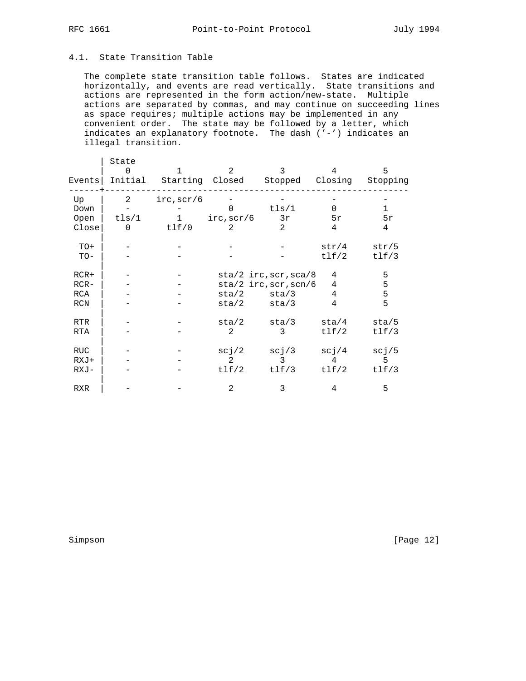# 4.1. State Transition Table

 The complete state transition table follows. States are indicated horizontally, and events are read vertically. State transitions and actions are represented in the form action/new-state. Multiple actions are separated by commas, and may continue on succeeding lines as space requires; multiple actions may be implemented in any convenient order. The state may be followed by a letter, which indicates an explanatory footnote. The dash ('-') indicates an illegal transition.

| Events     | State<br>U<br>Initial | 1<br>Starting Closed | $\overline{2}$   | 3<br>Stopped                           | 4<br>Closing     | 5<br>Stopping  |
|------------|-----------------------|----------------------|------------------|----------------------------------------|------------------|----------------|
| Up         | 2                     | irc, scr/6           |                  |                                        |                  |                |
| Down       |                       |                      |                  | tls/1                                  | $\Omega$         |                |
| Open       | tls/1                 | $\mathbf{1}$         | irc, scr/6       | 3r                                     | 5r               | 5r             |
| Close      | $\Omega$              | tlf/0                | 2                | 2                                      | 4                | 4              |
| $TO+$      |                       |                      |                  |                                        | str/4            | str/5          |
| $TO-$      |                       |                      |                  |                                        | tlf/2            | tlf/3          |
| $RCR+$     |                       |                      |                  | $\text{sta}/2$ irc, scr, sca/8         | 4                | 5              |
| $RCR-$     |                       |                      |                  | $\frac{\text{sta}}{2}$ irc, scr, scn/6 | 4                | 5              |
| RCA        |                       |                      | $\texttt{sta}/2$ | sta/3                                  | 4                | 5              |
| RCN        |                       |                      | $\verb sta/2 $   | $\texttt{sta}/3$                       | 4                | 5              |
| RTR        |                       |                      | $\texttt{sta}/2$ | $\texttt{sta}/3$                       | $\texttt{sta}/4$ | $\text{sta}/5$ |
| RTA        |                       |                      | 2                | 3                                      | tlf/2            | tlf/3          |
| <b>RUC</b> |                       |                      | scj/2            | scj/3                                  | scj/4            | scj/5          |
| $RXJ+$     |                       |                      | 2                | 3                                      | 4                | 5              |
| $RXJ -$    |                       |                      | tlf/2            | tlf/3                                  | t1f/2            | tlf/3          |
| <b>RXR</b> |                       |                      | 2                | 3                                      | 4                | 5              |

Simpson [Page 12]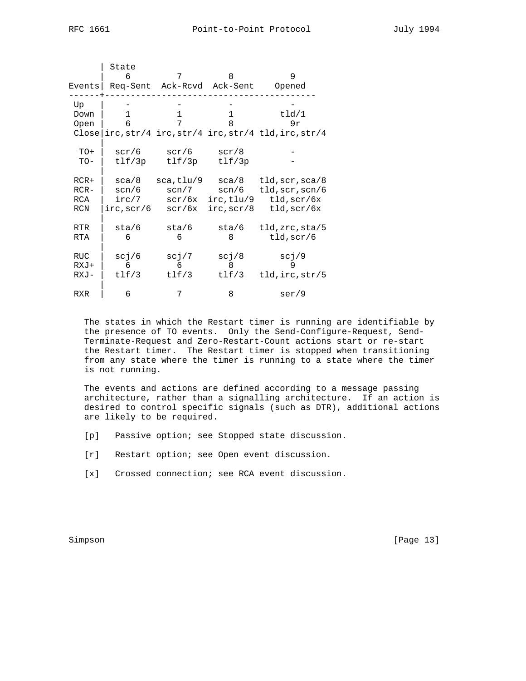| Events                         | State<br>6                            | 7<br>Req-Sent Ack-Rcvd Ack-Sent | 8                                                            | 9<br>Opened                                                                       |
|--------------------------------|---------------------------------------|---------------------------------|--------------------------------------------------------------|-----------------------------------------------------------------------------------|
| Up<br>Down                     | $\mathbf{1}$                          | $\mathbf{1}$                    | $\mathbf{1}$                                                 | tld/1                                                                             |
| Open                           | 6                                     | 7                               | 8                                                            | 9r<br>$Close irc,str/4irc,str/4irc,str/4irc,str/4 tld,irc,str/4$                  |
| $TO+$<br>$TO-$                 | scr/6<br>tlf/3p                       | scr/6<br>tlf/3p                 | scr/8<br>tlf/3p                                              |                                                                                   |
| $RCR+$<br>$RCR-$<br>RCA<br>RCN | sca/8<br>scn/6<br>irc/7<br>irc, scr/6 | sca,tlu/9<br>scr/6x<br>scr/6x   | $\verb sca /8$<br>$\text{scn}/7$ $\text{scn}/6$<br>irc,scr/8 | tld, $scr,$ sca/8<br>tld, scr, scn/6<br>$irc, tlu/9$ tld, $scr/6x$<br>tld, scr/6x |
| <b>RTR</b><br>RTA              | $\texttt{sta}/6$<br>6                 | sta/6<br>6                      | sta/6<br>8                                                   | tld, zrc, sta/5<br>tld, scr/6                                                     |
| RUC<br>$RXJ+$<br>RXJ-          | scj/6<br>6<br>tlf/3                   | scj/7<br>6<br>tlf/3             | scj/8<br>-8<br>tlf/3                                         | scj/9<br>9<br>tld,irc,str/5                                                       |
| <b>RXR</b>                     | 6                                     | 7                               | 8                                                            | ser/9                                                                             |

 The states in which the Restart timer is running are identifiable by the presence of TO events. Only the Send-Configure-Request, Send- Terminate-Request and Zero-Restart-Count actions start or re-start the Restart timer. The Restart timer is stopped when transitioning from any state where the timer is running to a state where the timer is not running.

 The events and actions are defined according to a message passing architecture, rather than a signalling architecture. If an action is desired to control specific signals (such as DTR), additional actions are likely to be required.

- [p] Passive option; see Stopped state discussion.
- [r] Restart option; see Open event discussion.
- [x] Crossed connection; see RCA event discussion.

Simpson [Page 13]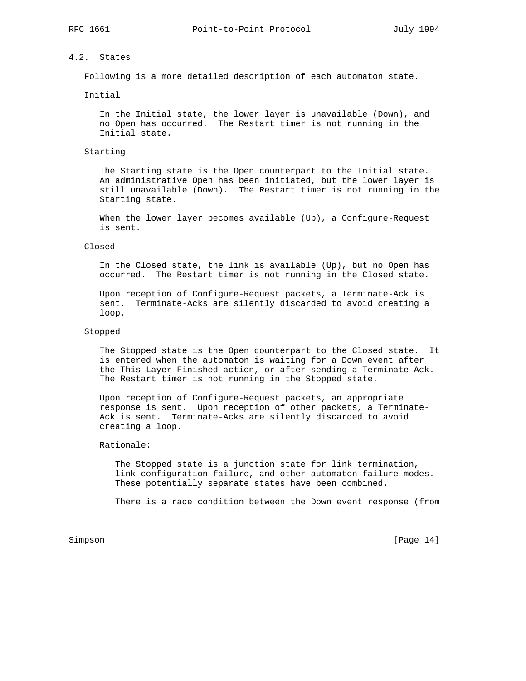# 4.2. States

Following is a more detailed description of each automaton state.

### Initial

 In the Initial state, the lower layer is unavailable (Down), and no Open has occurred. The Restart timer is not running in the Initial state.

# Starting

 The Starting state is the Open counterpart to the Initial state. An administrative Open has been initiated, but the lower layer is still unavailable (Down). The Restart timer is not running in the Starting state.

When the lower layer becomes available (Up), a Configure-Request is sent.

### Closed

 In the Closed state, the link is available (Up), but no Open has occurred. The Restart timer is not running in the Closed state.

 Upon reception of Configure-Request packets, a Terminate-Ack is sent. Terminate-Acks are silently discarded to avoid creating a loop.

# Stopped

 The Stopped state is the Open counterpart to the Closed state. It is entered when the automaton is waiting for a Down event after the This-Layer-Finished action, or after sending a Terminate-Ack. The Restart timer is not running in the Stopped state.

 Upon reception of Configure-Request packets, an appropriate response is sent. Upon reception of other packets, a Terminate- Ack is sent. Terminate-Acks are silently discarded to avoid creating a loop.

## Rationale:

 The Stopped state is a junction state for link termination, link configuration failure, and other automaton failure modes. These potentially separate states have been combined.

There is a race condition between the Down event response (from

Simpson [Page 14]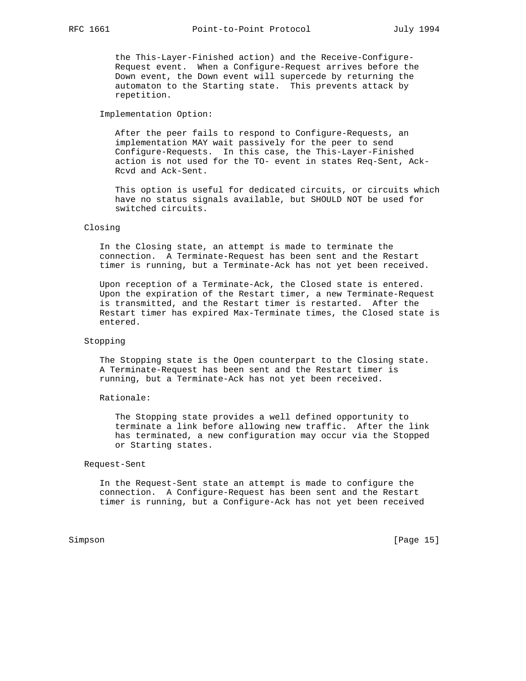the This-Layer-Finished action) and the Receive-Configure- Request event. When a Configure-Request arrives before the Down event, the Down event will supercede by returning the automaton to the Starting state. This prevents attack by repetition.

# Implementation Option:

 After the peer fails to respond to Configure-Requests, an implementation MAY wait passively for the peer to send Configure-Requests. In this case, the This-Layer-Finished action is not used for the TO- event in states Req-Sent, Ack- Rcvd and Ack-Sent.

 This option is useful for dedicated circuits, or circuits which have no status signals available, but SHOULD NOT be used for switched circuits.

# Closing

 In the Closing state, an attempt is made to terminate the connection. A Terminate-Request has been sent and the Restart timer is running, but a Terminate-Ack has not yet been received.

 Upon reception of a Terminate-Ack, the Closed state is entered. Upon the expiration of the Restart timer, a new Terminate-Request is transmitted, and the Restart timer is restarted. After the Restart timer has expired Max-Terminate times, the Closed state is entered.

# Stopping

 The Stopping state is the Open counterpart to the Closing state. A Terminate-Request has been sent and the Restart timer is running, but a Terminate-Ack has not yet been received.

#### Rationale:

 The Stopping state provides a well defined opportunity to terminate a link before allowing new traffic. After the link has terminated, a new configuration may occur via the Stopped or Starting states.

#### Request-Sent

 In the Request-Sent state an attempt is made to configure the connection. A Configure-Request has been sent and the Restart timer is running, but a Configure-Ack has not yet been received

Simpson [Page 15]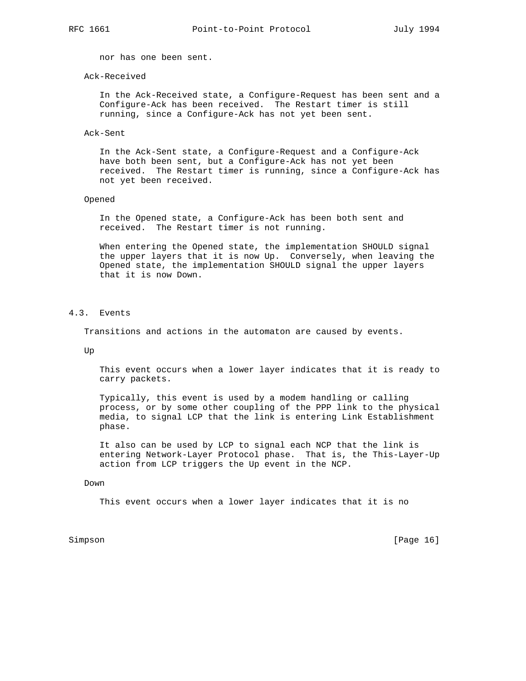nor has one been sent.

#### Ack-Received

 In the Ack-Received state, a Configure-Request has been sent and a Configure-Ack has been received. The Restart timer is still running, since a Configure-Ack has not yet been sent.

#### Ack-Sent

 In the Ack-Sent state, a Configure-Request and a Configure-Ack have both been sent, but a Configure-Ack has not yet been received. The Restart timer is running, since a Configure-Ack has not yet been received.

#### Opened

 In the Opened state, a Configure-Ack has been both sent and received. The Restart timer is not running.

 When entering the Opened state, the implementation SHOULD signal the upper layers that it is now Up. Conversely, when leaving the Opened state, the implementation SHOULD signal the upper layers that it is now Down.

# 4.3. Events

Transitions and actions in the automaton are caused by events.

#### Up

 This event occurs when a lower layer indicates that it is ready to carry packets.

 Typically, this event is used by a modem handling or calling process, or by some other coupling of the PPP link to the physical media, to signal LCP that the link is entering Link Establishment phase.

 It also can be used by LCP to signal each NCP that the link is entering Network-Layer Protocol phase. That is, the This-Layer-Up action from LCP triggers the Up event in the NCP.

#### Down

This event occurs when a lower layer indicates that it is no

Simpson [Page 16]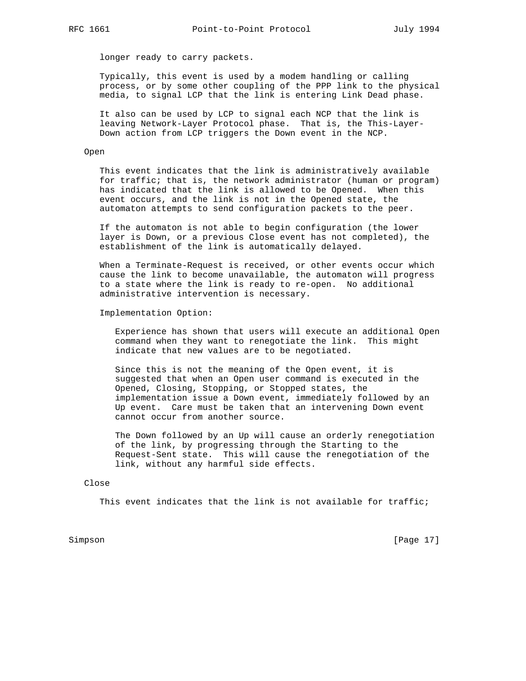longer ready to carry packets.

 Typically, this event is used by a modem handling or calling process, or by some other coupling of the PPP link to the physical media, to signal LCP that the link is entering Link Dead phase.

 It also can be used by LCP to signal each NCP that the link is leaving Network-Layer Protocol phase. That is, the This-Layer- Down action from LCP triggers the Down event in the NCP.

#### Open

 This event indicates that the link is administratively available for traffic; that is, the network administrator (human or program) has indicated that the link is allowed to be Opened. When this event occurs, and the link is not in the Opened state, the automaton attempts to send configuration packets to the peer.

 If the automaton is not able to begin configuration (the lower layer is Down, or a previous Close event has not completed), the establishment of the link is automatically delayed.

 When a Terminate-Request is received, or other events occur which cause the link to become unavailable, the automaton will progress to a state where the link is ready to re-open. No additional administrative intervention is necessary.

Implementation Option:

 Experience has shown that users will execute an additional Open command when they want to renegotiate the link. This might indicate that new values are to be negotiated.

 Since this is not the meaning of the Open event, it is suggested that when an Open user command is executed in the Opened, Closing, Stopping, or Stopped states, the implementation issue a Down event, immediately followed by an Up event. Care must be taken that an intervening Down event cannot occur from another source.

 The Down followed by an Up will cause an orderly renegotiation of the link, by progressing through the Starting to the Request-Sent state. This will cause the renegotiation of the link, without any harmful side effects.

#### Close

This event indicates that the link is not available for traffic;

Simpson [Page 17]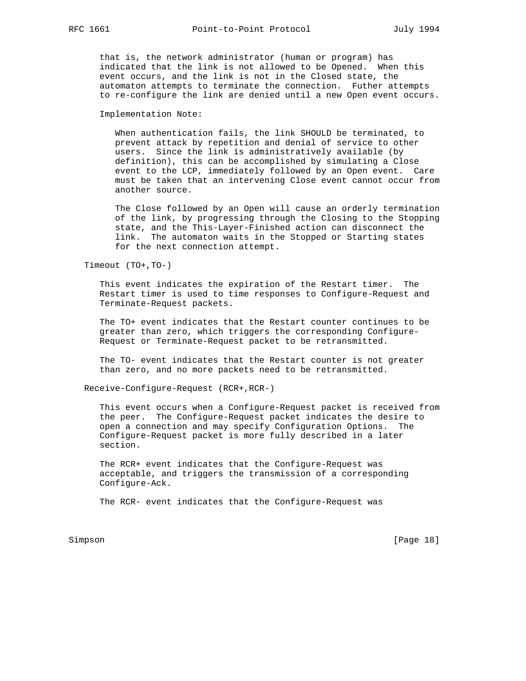that is, the network administrator (human or program) has indicated that the link is not allowed to be Opened. When this event occurs, and the link is not in the Closed state, the automaton attempts to terminate the connection. Futher attempts to re-configure the link are denied until a new Open event occurs.

Implementation Note:

 When authentication fails, the link SHOULD be terminated, to prevent attack by repetition and denial of service to other users. Since the link is administratively available (by definition), this can be accomplished by simulating a Close event to the LCP, immediately followed by an Open event. Care must be taken that an intervening Close event cannot occur from another source.

 The Close followed by an Open will cause an orderly termination of the link, by progressing through the Closing to the Stopping state, and the This-Layer-Finished action can disconnect the link. The automaton waits in the Stopped or Starting states for the next connection attempt.

Timeout (TO+,TO-)

 This event indicates the expiration of the Restart timer. The Restart timer is used to time responses to Configure-Request and Terminate-Request packets.

 The TO+ event indicates that the Restart counter continues to be greater than zero, which triggers the corresponding Configure- Request or Terminate-Request packet to be retransmitted.

 The TO- event indicates that the Restart counter is not greater than zero, and no more packets need to be retransmitted.

Receive-Configure-Request (RCR+,RCR-)

 This event occurs when a Configure-Request packet is received from the peer. The Configure-Request packet indicates the desire to open a connection and may specify Configuration Options. The Configure-Request packet is more fully described in a later section.

 The RCR+ event indicates that the Configure-Request was acceptable, and triggers the transmission of a corresponding Configure-Ack.

The RCR- event indicates that the Configure-Request was

Simpson [Page 18]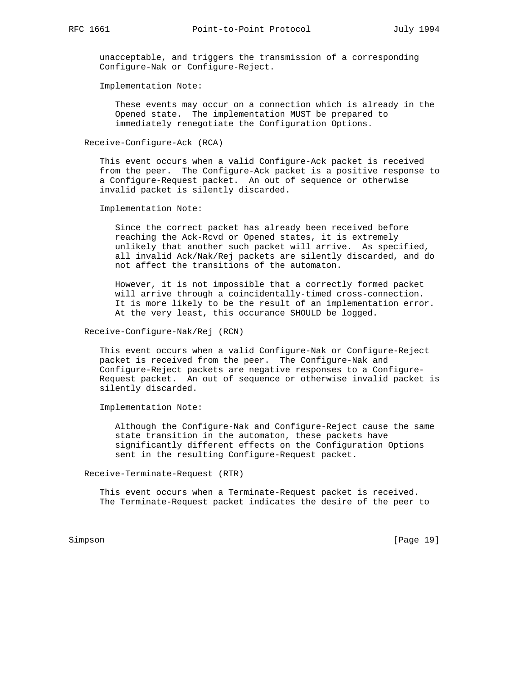unacceptable, and triggers the transmission of a corresponding Configure-Nak or Configure-Reject.

Implementation Note:

 These events may occur on a connection which is already in the Opened state. The implementation MUST be prepared to immediately renegotiate the Configuration Options.

Receive-Configure-Ack (RCA)

 This event occurs when a valid Configure-Ack packet is received from the peer. The Configure-Ack packet is a positive response to a Configure-Request packet. An out of sequence or otherwise invalid packet is silently discarded.

Implementation Note:

 Since the correct packet has already been received before reaching the Ack-Rcvd or Opened states, it is extremely unlikely that another such packet will arrive. As specified, all invalid Ack/Nak/Rej packets are silently discarded, and do not affect the transitions of the automaton.

 However, it is not impossible that a correctly formed packet will arrive through a coincidentally-timed cross-connection. It is more likely to be the result of an implementation error. At the very least, this occurance SHOULD be logged.

Receive-Configure-Nak/Rej (RCN)

 This event occurs when a valid Configure-Nak or Configure-Reject packet is received from the peer. The Configure-Nak and Configure-Reject packets are negative responses to a Configure- Request packet. An out of sequence or otherwise invalid packet is silently discarded.

Implementation Note:

 Although the Configure-Nak and Configure-Reject cause the same state transition in the automaton, these packets have significantly different effects on the Configuration Options sent in the resulting Configure-Request packet.

Receive-Terminate-Request (RTR)

 This event occurs when a Terminate-Request packet is received. The Terminate-Request packet indicates the desire of the peer to

Simpson [Page 19]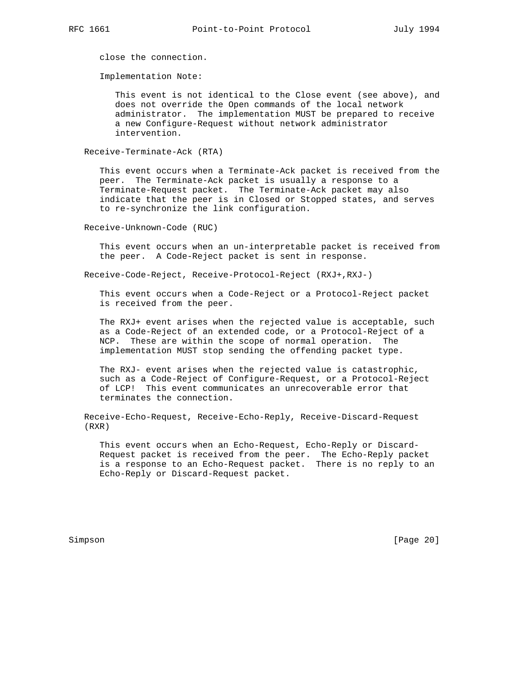close the connection.

Implementation Note:

 This event is not identical to the Close event (see above), and does not override the Open commands of the local network administrator. The implementation MUST be prepared to receive a new Configure-Request without network administrator intervention.

Receive-Terminate-Ack (RTA)

 This event occurs when a Terminate-Ack packet is received from the peer. The Terminate-Ack packet is usually a response to a Terminate-Request packet. The Terminate-Ack packet may also indicate that the peer is in Closed or Stopped states, and serves to re-synchronize the link configuration.

Receive-Unknown-Code (RUC)

 This event occurs when an un-interpretable packet is received from the peer. A Code-Reject packet is sent in response.

Receive-Code-Reject, Receive-Protocol-Reject (RXJ+,RXJ-)

 This event occurs when a Code-Reject or a Protocol-Reject packet is received from the peer.

 The RXJ+ event arises when the rejected value is acceptable, such as a Code-Reject of an extended code, or a Protocol-Reject of a NCP. These are within the scope of normal operation. The implementation MUST stop sending the offending packet type.

 The RXJ- event arises when the rejected value is catastrophic, such as a Code-Reject of Configure-Request, or a Protocol-Reject of LCP! This event communicates an unrecoverable error that terminates the connection.

 Receive-Echo-Request, Receive-Echo-Reply, Receive-Discard-Request (RXR)

 This event occurs when an Echo-Request, Echo-Reply or Discard- Request packet is received from the peer. The Echo-Reply packet is a response to an Echo-Request packet. There is no reply to an Echo-Reply or Discard-Request packet.

Simpson [Page 20]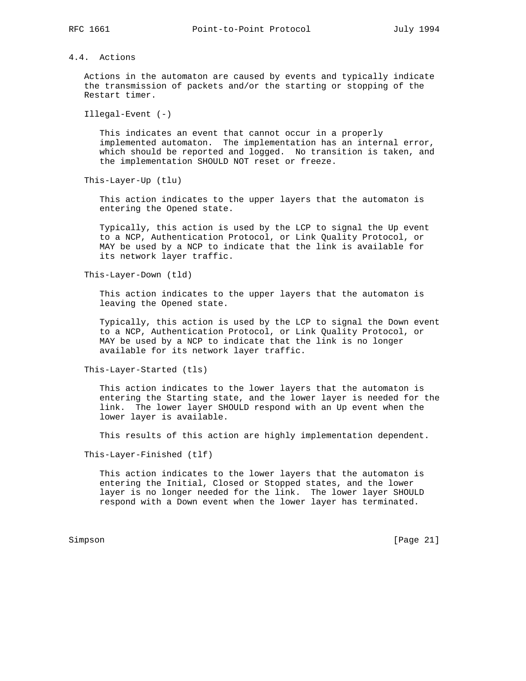#### 4.4. Actions

 Actions in the automaton are caused by events and typically indicate the transmission of packets and/or the starting or stopping of the Restart timer.

Illegal-Event (-)

 This indicates an event that cannot occur in a properly implemented automaton. The implementation has an internal error, which should be reported and logged. No transition is taken, and the implementation SHOULD NOT reset or freeze.

This-Layer-Up (tlu)

 This action indicates to the upper layers that the automaton is entering the Opened state.

 Typically, this action is used by the LCP to signal the Up event to a NCP, Authentication Protocol, or Link Quality Protocol, or MAY be used by a NCP to indicate that the link is available for its network layer traffic.

This-Layer-Down (tld)

 This action indicates to the upper layers that the automaton is leaving the Opened state.

 Typically, this action is used by the LCP to signal the Down event to a NCP, Authentication Protocol, or Link Quality Protocol, or MAY be used by a NCP to indicate that the link is no longer available for its network layer traffic.

This-Layer-Started (tls)

 This action indicates to the lower layers that the automaton is entering the Starting state, and the lower layer is needed for the link. The lower layer SHOULD respond with an Up event when the lower layer is available.

This results of this action are highly implementation dependent.

This-Layer-Finished (tlf)

 This action indicates to the lower layers that the automaton is entering the Initial, Closed or Stopped states, and the lower layer is no longer needed for the link. The lower layer SHOULD respond with a Down event when the lower layer has terminated.

Simpson [Page 21]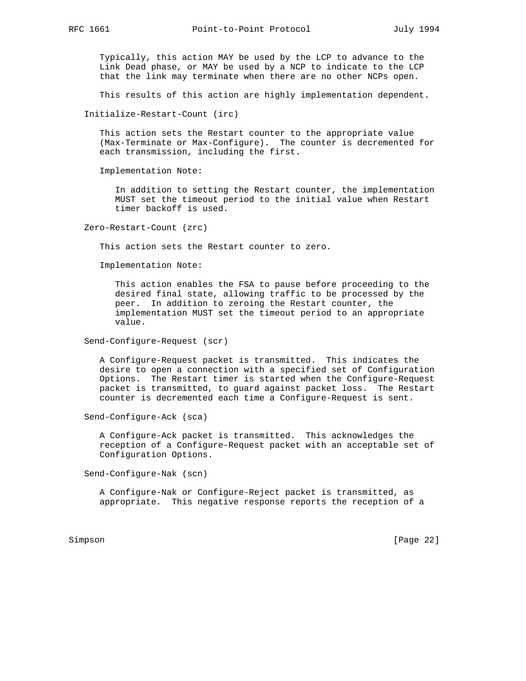Typically, this action MAY be used by the LCP to advance to the Link Dead phase, or MAY be used by a NCP to indicate to the LCP

This results of this action are highly implementation dependent.

that the link may terminate when there are no other NCPs open.

Initialize-Restart-Count (irc)

 This action sets the Restart counter to the appropriate value (Max-Terminate or Max-Configure). The counter is decremented for each transmission, including the first.

Implementation Note:

 In addition to setting the Restart counter, the implementation MUST set the timeout period to the initial value when Restart timer backoff is used.

Zero-Restart-Count (zrc)

This action sets the Restart counter to zero.

Implementation Note:

 This action enables the FSA to pause before proceeding to the desired final state, allowing traffic to be processed by the peer. In addition to zeroing the Restart counter, the implementation MUST set the timeout period to an appropriate value.

Send-Configure-Request (scr)

 A Configure-Request packet is transmitted. This indicates the desire to open a connection with a specified set of Configuration Options. The Restart timer is started when the Configure-Request packet is transmitted, to guard against packet loss. The Restart counter is decremented each time a Configure-Request is sent.

Send-Configure-Ack (sca)

 A Configure-Ack packet is transmitted. This acknowledges the reception of a Configure-Request packet with an acceptable set of Configuration Options.

Send-Configure-Nak (scn)

 A Configure-Nak or Configure-Reject packet is transmitted, as appropriate. This negative response reports the reception of a

Simpson [Page 22]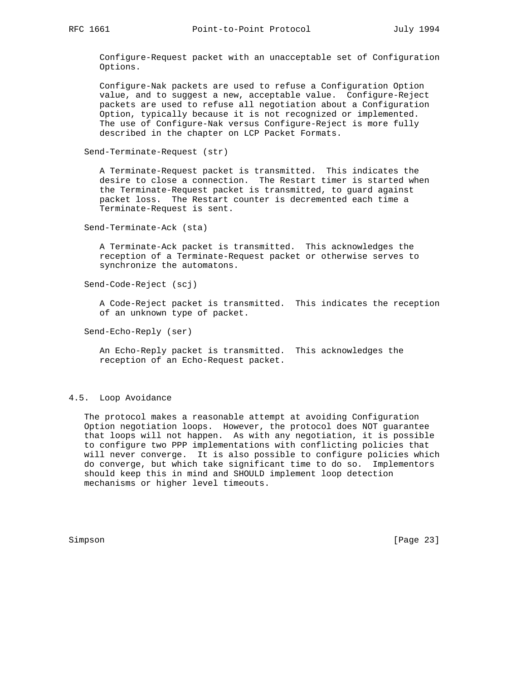Configure-Request packet with an unacceptable set of Configuration Options.

 Configure-Nak packets are used to refuse a Configuration Option value, and to suggest a new, acceptable value. Configure-Reject packets are used to refuse all negotiation about a Configuration Option, typically because it is not recognized or implemented. The use of Configure-Nak versus Configure-Reject is more fully described in the chapter on LCP Packet Formats.

Send-Terminate-Request (str)

 A Terminate-Request packet is transmitted. This indicates the desire to close a connection. The Restart timer is started when the Terminate-Request packet is transmitted, to guard against packet loss. The Restart counter is decremented each time a Terminate-Request is sent.

Send-Terminate-Ack (sta)

 A Terminate-Ack packet is transmitted. This acknowledges the reception of a Terminate-Request packet or otherwise serves to synchronize the automatons.

Send-Code-Reject (scj)

 A Code-Reject packet is transmitted. This indicates the reception of an unknown type of packet.

Send-Echo-Reply (ser)

 An Echo-Reply packet is transmitted. This acknowledges the reception of an Echo-Request packet.

# 4.5. Loop Avoidance

 The protocol makes a reasonable attempt at avoiding Configuration Option negotiation loops. However, the protocol does NOT guarantee that loops will not happen. As with any negotiation, it is possible to configure two PPP implementations with conflicting policies that will never converge. It is also possible to configure policies which do converge, but which take significant time to do so. Implementors should keep this in mind and SHOULD implement loop detection mechanisms or higher level timeouts.

Simpson [Page 23]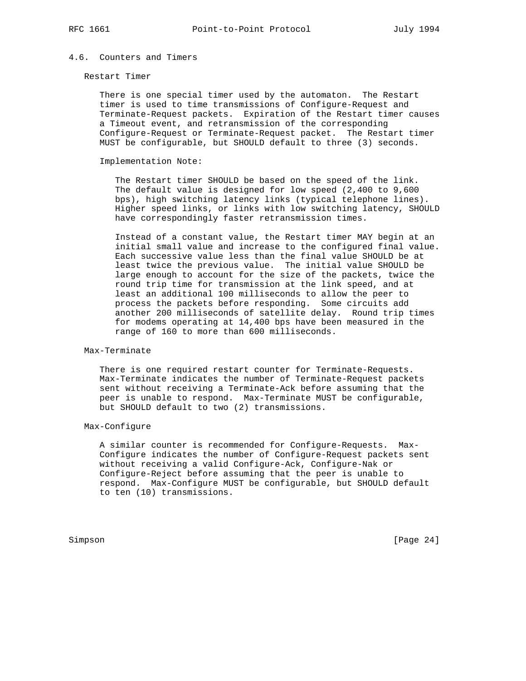#### 4.6. Counters and Timers

Restart Timer

 There is one special timer used by the automaton. The Restart timer is used to time transmissions of Configure-Request and Terminate-Request packets. Expiration of the Restart timer causes a Timeout event, and retransmission of the corresponding Configure-Request or Terminate-Request packet. The Restart timer MUST be configurable, but SHOULD default to three (3) seconds.

# Implementation Note:

 The Restart timer SHOULD be based on the speed of the link. The default value is designed for low speed (2,400 to 9,600 bps), high switching latency links (typical telephone lines). Higher speed links, or links with low switching latency, SHOULD have correspondingly faster retransmission times.

 Instead of a constant value, the Restart timer MAY begin at an initial small value and increase to the configured final value. Each successive value less than the final value SHOULD be at least twice the previous value. The initial value SHOULD be large enough to account for the size of the packets, twice the round trip time for transmission at the link speed, and at least an additional 100 milliseconds to allow the peer to process the packets before responding. Some circuits add another 200 milliseconds of satellite delay. Round trip times for modems operating at 14,400 bps have been measured in the range of 160 to more than 600 milliseconds.

# Max-Terminate

 There is one required restart counter for Terminate-Requests. Max-Terminate indicates the number of Terminate-Request packets sent without receiving a Terminate-Ack before assuming that the peer is unable to respond. Max-Terminate MUST be configurable, but SHOULD default to two (2) transmissions.

# Max-Configure

 A similar counter is recommended for Configure-Requests. Max- Configure indicates the number of Configure-Request packets sent without receiving a valid Configure-Ack, Configure-Nak or Configure-Reject before assuming that the peer is unable to respond. Max-Configure MUST be configurable, but SHOULD default to ten (10) transmissions.

Simpson [Page 24]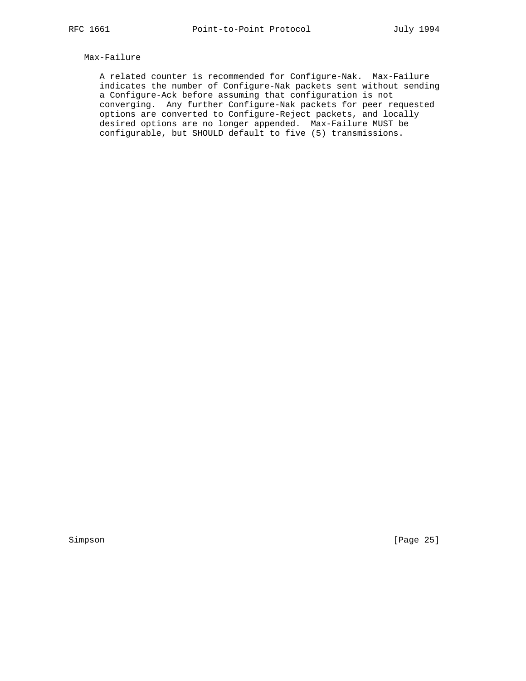# Max-Failure

 A related counter is recommended for Configure-Nak. Max-Failure indicates the number of Configure-Nak packets sent without sending a Configure-Ack before assuming that configuration is not converging. Any further Configure-Nak packets for peer requested options are converted to Configure-Reject packets, and locally desired options are no longer appended. Max-Failure MUST be configurable, but SHOULD default to five (5) transmissions.

Simpson [Page 25]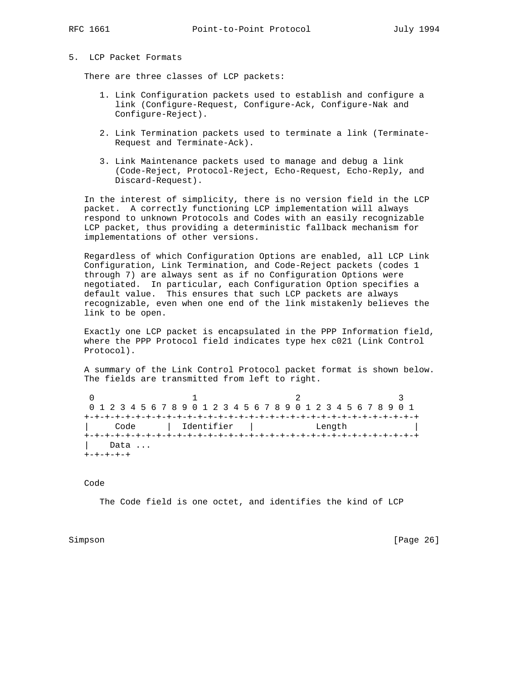# 5. LCP Packet Formats

There are three classes of LCP packets:

- 1. Link Configuration packets used to establish and configure a link (Configure-Request, Configure-Ack, Configure-Nak and Configure-Reject).
- 2. Link Termination packets used to terminate a link (Terminate- Request and Terminate-Ack).
- 3. Link Maintenance packets used to manage and debug a link (Code-Reject, Protocol-Reject, Echo-Request, Echo-Reply, and Discard-Request).

 In the interest of simplicity, there is no version field in the LCP packet. A correctly functioning LCP implementation will always respond to unknown Protocols and Codes with an easily recognizable LCP packet, thus providing a deterministic fallback mechanism for implementations of other versions.

 Regardless of which Configuration Options are enabled, all LCP Link Configuration, Link Termination, and Code-Reject packets (codes 1 through 7) are always sent as if no Configuration Options were negotiated. In particular, each Configuration Option specifies a default value. This ensures that such LCP packets are always recognizable, even when one end of the link mistakenly believes the link to be open.

 Exactly one LCP packet is encapsulated in the PPP Information field, where the PPP Protocol field indicates type hex c021 (Link Control Protocol).

 A summary of the Link Control Protocol packet format is shown below. The fields are transmitted from left to right.

0  $1$  2 3 0 1 2 3 4 5 6 7 8 9 0 1 2 3 4 5 6 7 8 9 0 1 2 3 4 5 6 7 8 9 0 1 +-+-+-+-+-+-+-+-+-+-+-+-+-+-+-+-+-+-+-+-+-+-+-+-+-+-+-+-+-+-+-+-+ | Code | Identifier | Length | +-+-+-+-+-+-+-+-+-+-+-+-+-+-+-+-+-+-+-+-+-+-+-+-+-+-+-+-+-+-+-+-+ Data ... +-+-+-+-+

Code

The Code field is one octet, and identifies the kind of LCP

Simpson [Page 26]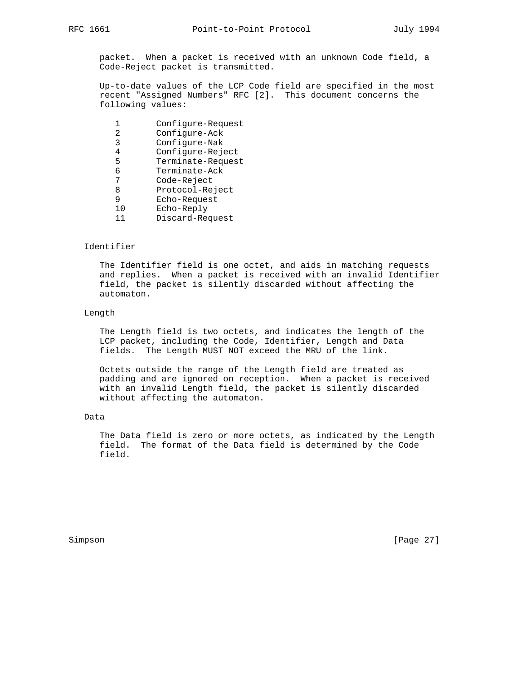packet. When a packet is received with an unknown Code field, a Code-Reject packet is transmitted.

 Up-to-date values of the LCP Code field are specified in the most recent "Assigned Numbers" RFC [2]. This document concerns the following values:

|    | Configure-Request |
|----|-------------------|
| 2  | Configure-Ack     |
| 3  | Configure-Nak     |
| 4  | Configure-Reject  |
| 5  | Terminate-Request |
| 6  | Terminate-Ack     |
|    | Code-Reject       |
| 8  | Protocol-Reject   |
| 9  | Echo-Request      |
| 10 | Echo-Reply        |
|    | Discard-Request   |

Identifier

 The Identifier field is one octet, and aids in matching requests and replies. When a packet is received with an invalid Identifier field, the packet is silently discarded without affecting the automaton.

# Length

 The Length field is two octets, and indicates the length of the LCP packet, including the Code, Identifier, Length and Data fields. The Length MUST NOT exceed the MRU of the link.

 Octets outside the range of the Length field are treated as padding and are ignored on reception. When a packet is received with an invalid Length field, the packet is silently discarded without affecting the automaton.

# Data

 The Data field is zero or more octets, as indicated by the Length field. The format of the Data field is determined by the Code field.

Simpson [Page 27]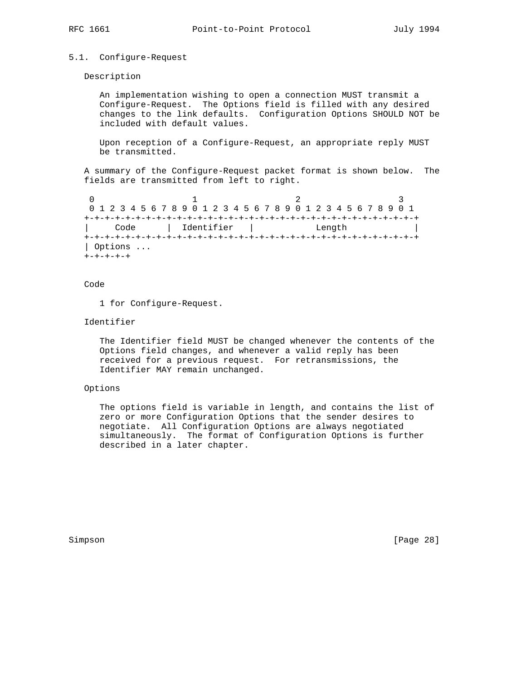### 5.1. Configure-Request

Description

 An implementation wishing to open a connection MUST transmit a Configure-Request. The Options field is filled with any desired changes to the link defaults. Configuration Options SHOULD NOT be included with default values.

 Upon reception of a Configure-Request, an appropriate reply MUST be transmitted.

 A summary of the Configure-Request packet format is shown below. The fields are transmitted from left to right.

0  $1$  2 3 0 1 2 3 4 5 6 7 8 9 0 1 2 3 4 5 6 7 8 9 0 1 2 3 4 5 6 7 8 9 0 1 +-+-+-+-+-+-+-+-+-+-+-+-+-+-+-+-+-+-+-+-+-+-+-+-+-+-+-+-+-+-+-+-+ | Code | Identifier | Length | +-+-+-+-+-+-+-+-+-+-+-+-+-+-+-+-+-+-+-+-+-+-+-+-+-+-+-+-+-+-+-+-+ | Options ... +-+-+-+-+

# Code

1 for Configure-Request.

# Identifier

 The Identifier field MUST be changed whenever the contents of the Options field changes, and whenever a valid reply has been received for a previous request. For retransmissions, the Identifier MAY remain unchanged.

# Options

 The options field is variable in length, and contains the list of zero or more Configuration Options that the sender desires to negotiate. All Configuration Options are always negotiated simultaneously. The format of Configuration Options is further described in a later chapter.

Simpson [Page 28]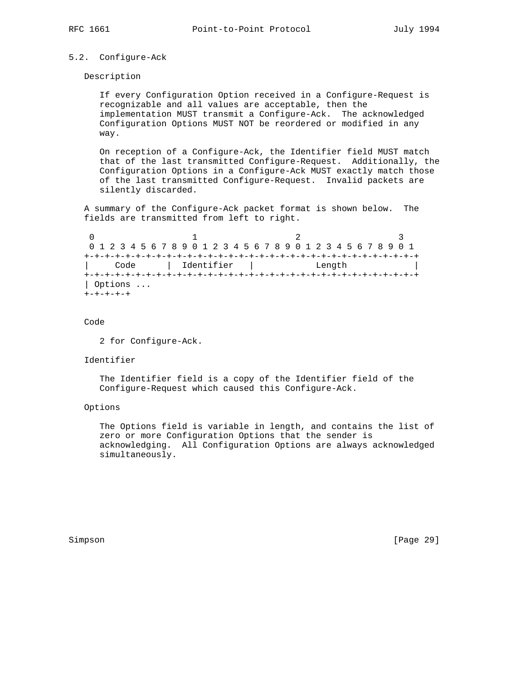# 5.2. Configure-Ack

#### Description

 If every Configuration Option received in a Configure-Request is recognizable and all values are acceptable, then the implementation MUST transmit a Configure-Ack. The acknowledged Configuration Options MUST NOT be reordered or modified in any way.

 On reception of a Configure-Ack, the Identifier field MUST match that of the last transmitted Configure-Request. Additionally, the Configuration Options in a Configure-Ack MUST exactly match those of the last transmitted Configure-Request. Invalid packets are silently discarded.

 A summary of the Configure-Ack packet format is shown below. The fields are transmitted from left to right.

| 0 1 2 3 4 5 6 7 8 9 0 1 2 3 4 5 6 7 8 9 0 1 2 3 4 5 6 7 8 9 0 1 |      |  |            |  |  |  |  |  |  |        |  |  |  |  |
|-----------------------------------------------------------------|------|--|------------|--|--|--|--|--|--|--------|--|--|--|--|
|                                                                 |      |  |            |  |  |  |  |  |  |        |  |  |  |  |
|                                                                 | Code |  | Identifier |  |  |  |  |  |  | Length |  |  |  |  |
|                                                                 |      |  |            |  |  |  |  |  |  |        |  |  |  |  |
| Options                                                         |      |  |            |  |  |  |  |  |  |        |  |  |  |  |
|                                                                 |      |  |            |  |  |  |  |  |  |        |  |  |  |  |

Code

2 for Configure-Ack.

#### Identifier

 The Identifier field is a copy of the Identifier field of the Configure-Request which caused this Configure-Ack.

# Options

 The Options field is variable in length, and contains the list of zero or more Configuration Options that the sender is acknowledging. All Configuration Options are always acknowledged simultaneously.

Simpson [Page 29]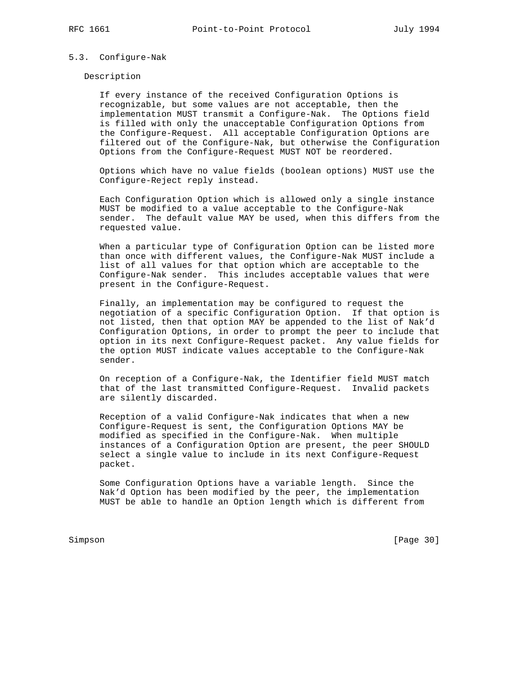### 5.3. Configure-Nak

Description

 If every instance of the received Configuration Options is recognizable, but some values are not acceptable, then the implementation MUST transmit a Configure-Nak. The Options field is filled with only the unacceptable Configuration Options from the Configure-Request. All acceptable Configuration Options are filtered out of the Configure-Nak, but otherwise the Configuration Options from the Configure-Request MUST NOT be reordered.

 Options which have no value fields (boolean options) MUST use the Configure-Reject reply instead.

 Each Configuration Option which is allowed only a single instance MUST be modified to a value acceptable to the Configure-Nak sender. The default value MAY be used, when this differs from the requested value.

 When a particular type of Configuration Option can be listed more than once with different values, the Configure-Nak MUST include a list of all values for that option which are acceptable to the Configure-Nak sender. This includes acceptable values that were present in the Configure-Request.

 Finally, an implementation may be configured to request the negotiation of a specific Configuration Option. If that option is not listed, then that option MAY be appended to the list of Nak'd Configuration Options, in order to prompt the peer to include that option in its next Configure-Request packet. Any value fields for the option MUST indicate values acceptable to the Configure-Nak sender.

 On reception of a Configure-Nak, the Identifier field MUST match that of the last transmitted Configure-Request. Invalid packets are silently discarded.

 Reception of a valid Configure-Nak indicates that when a new Configure-Request is sent, the Configuration Options MAY be modified as specified in the Configure-Nak. When multiple instances of a Configuration Option are present, the peer SHOULD select a single value to include in its next Configure-Request packet.

 Some Configuration Options have a variable length. Since the Nak'd Option has been modified by the peer, the implementation MUST be able to handle an Option length which is different from

Simpson [Page 30]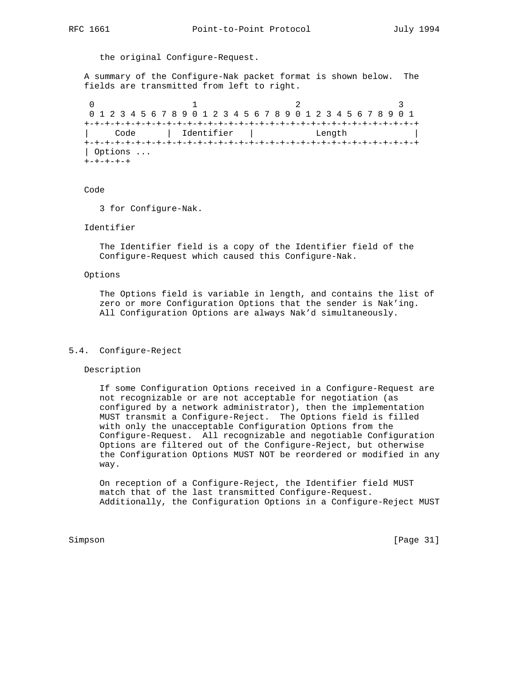the original Configure-Request.

 A summary of the Configure-Nak packet format is shown below. The fields are transmitted from left to right.

0  $1$  2 3 0 1 2 3 4 5 6 7 8 9 0 1 2 3 4 5 6 7 8 9 0 1 2 3 4 5 6 7 8 9 0 1 +-+-+-+-+-+-+-+-+-+-+-+-+-+-+-+-+-+-+-+-+-+-+-+-+-+-+-+-+-+-+-+-+ | Code | Identifier | Length | +-+-+-+-+-+-+-+-+-+-+-+-+-+-+-+-+-+-+-+-+-+-+-+-+-+-+-+-+-+-+-+-+ | Options ... +-+-+-+-+

#### Code

3 for Configure-Nak.

# Identifier

 The Identifier field is a copy of the Identifier field of the Configure-Request which caused this Configure-Nak.

#### Options

 The Options field is variable in length, and contains the list of zero or more Configuration Options that the sender is Nak'ing. All Configuration Options are always Nak'd simultaneously.

#### 5.4. Configure-Reject

#### Description

 If some Configuration Options received in a Configure-Request are not recognizable or are not acceptable for negotiation (as configured by a network administrator), then the implementation MUST transmit a Configure-Reject. The Options field is filled with only the unacceptable Configuration Options from the Configure-Request. All recognizable and negotiable Configuration Options are filtered out of the Configure-Reject, but otherwise the Configuration Options MUST NOT be reordered or modified in any way.

 On reception of a Configure-Reject, the Identifier field MUST match that of the last transmitted Configure-Request. Additionally, the Configuration Options in a Configure-Reject MUST

Simpson [Page 31]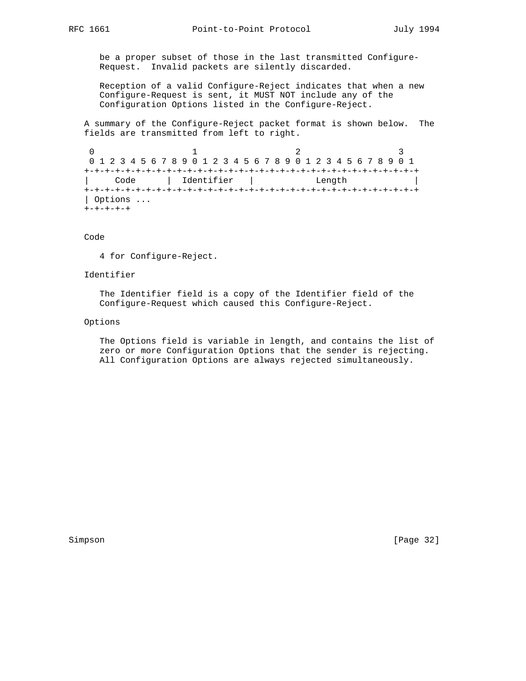be a proper subset of those in the last transmitted Configure- Request. Invalid packets are silently discarded.

 Reception of a valid Configure-Reject indicates that when a new Configure-Request is sent, it MUST NOT include any of the Configuration Options listed in the Configure-Reject.

 A summary of the Configure-Reject packet format is shown below. The fields are transmitted from left to right.

0  $1$  2 3 0 1 2 3 4 5 6 7 8 9 0 1 2 3 4 5 6 7 8 9 0 1 2 3 4 5 6 7 8 9 0 1 +-+-+-+-+-+-+-+-+-+-+-+-+-+-+-+-+-+-+-+-+-+-+-+-+-+-+-+-+-+-+-+-+ Code | Identifier | +-+-+-+-+-+-+-+-+-+-+-+-+-+-+-+-+-+-+-+-+-+-+-+-+-+-+-+-+-+-+-+-+ | Options ... +-+-+-+-+

Code

4 for Configure-Reject.

## Identifier

 The Identifier field is a copy of the Identifier field of the Configure-Request which caused this Configure-Reject.

# Options

 The Options field is variable in length, and contains the list of zero or more Configuration Options that the sender is rejecting. All Configuration Options are always rejected simultaneously.

Simpson [Page 32]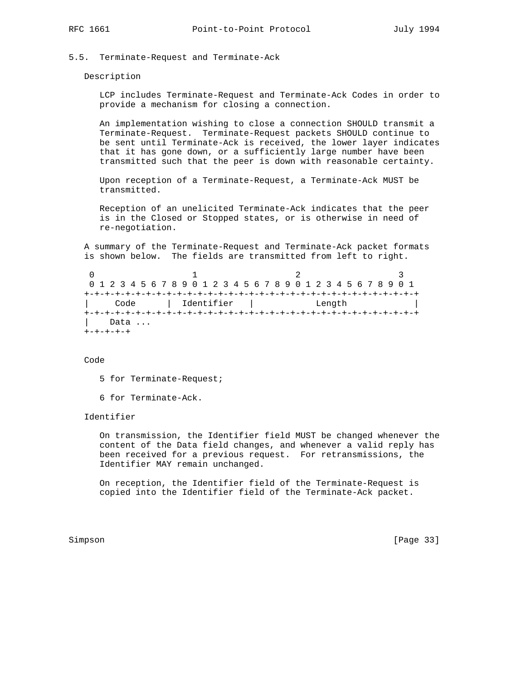#### 5.5. Terminate-Request and Terminate-Ack

Description

 LCP includes Terminate-Request and Terminate-Ack Codes in order to provide a mechanism for closing a connection.

 An implementation wishing to close a connection SHOULD transmit a Terminate-Request. Terminate-Request packets SHOULD continue to be sent until Terminate-Ack is received, the lower layer indicates that it has gone down, or a sufficiently large number have been transmitted such that the peer is down with reasonable certainty.

 Upon reception of a Terminate-Request, a Terminate-Ack MUST be transmitted.

 Reception of an unelicited Terminate-Ack indicates that the peer is in the Closed or Stopped states, or is otherwise in need of re-negotiation.

 A summary of the Terminate-Request and Terminate-Ack packet formats is shown below. The fields are transmitted from left to right.

0  $1$  2 3 0 1 2 3 4 5 6 7 8 9 0 1 2 3 4 5 6 7 8 9 0 1 2 3 4 5 6 7 8 9 0 1 +-+-+-+-+-+-+-+-+-+-+-+-+-+-+-+-+-+-+-+-+-+-+-+-+-+-+-+-+-+-+-+-+ | Code | Identifier | Length | +-+-+-+-+-+-+-+-+-+-+-+-+-+-+-+-+-+-+-+-+-+-+-+-+-+-+-+-+-+-+-+-+ Data ... +-+-+-+-+

Code

5 for Terminate-Request;

6 for Terminate-Ack.

# Identifier

 On transmission, the Identifier field MUST be changed whenever the content of the Data field changes, and whenever a valid reply has been received for a previous request. For retransmissions, the Identifier MAY remain unchanged.

 On reception, the Identifier field of the Terminate-Request is copied into the Identifier field of the Terminate-Ack packet.

Simpson [Page 33]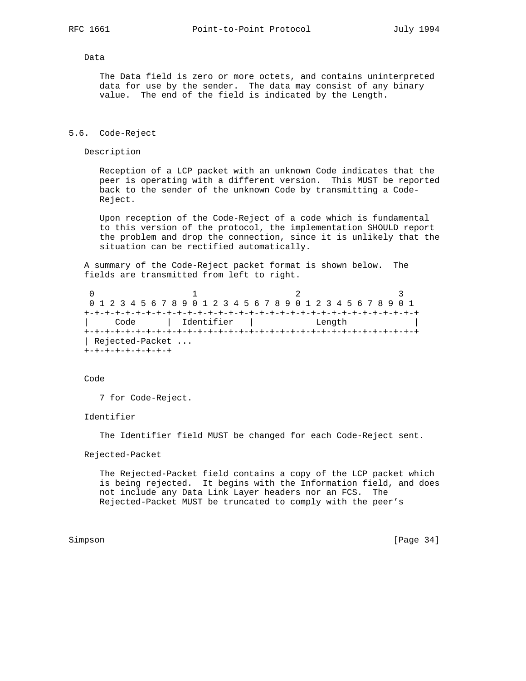Data

 The Data field is zero or more octets, and contains uninterpreted data for use by the sender. The data may consist of any binary value. The end of the field is indicated by the Length.

# 5.6. Code-Reject

Description

 Reception of a LCP packet with an unknown Code indicates that the peer is operating with a different version. This MUST be reported back to the sender of the unknown Code by transmitting a Code- Reject.

 Upon reception of the Code-Reject of a code which is fundamental to this version of the protocol, the implementation SHOULD report the problem and drop the connection, since it is unlikely that the situation can be rectified automatically.

 A summary of the Code-Reject packet format is shown below. The fields are transmitted from left to right.

| 0 1 2 3 4 5 6 7 8 9 0 1 2 3 4 5 6 7 8 9 0 1 2 3 4 5 6 7 8 9 0 1 |          |  |            |  |  |  |  |  |  |        |  |  |  |  |
|-----------------------------------------------------------------|----------|--|------------|--|--|--|--|--|--|--------|--|--|--|--|
|                                                                 |          |  |            |  |  |  |  |  |  |        |  |  |  |  |
|                                                                 | Code     |  | Identifier |  |  |  |  |  |  | Length |  |  |  |  |
|                                                                 |          |  |            |  |  |  |  |  |  |        |  |  |  |  |
| Rejected-Packet                                                 |          |  |            |  |  |  |  |  |  |        |  |  |  |  |
|                                                                 | -+-+-+-+ |  |            |  |  |  |  |  |  |        |  |  |  |  |

Code

7 for Code-Reject.

Identifier

The Identifier field MUST be changed for each Code-Reject sent.

Rejected-Packet

 The Rejected-Packet field contains a copy of the LCP packet which is being rejected. It begins with the Information field, and does not include any Data Link Layer headers nor an FCS. The Rejected-Packet MUST be truncated to comply with the peer's

Simpson [Page 34]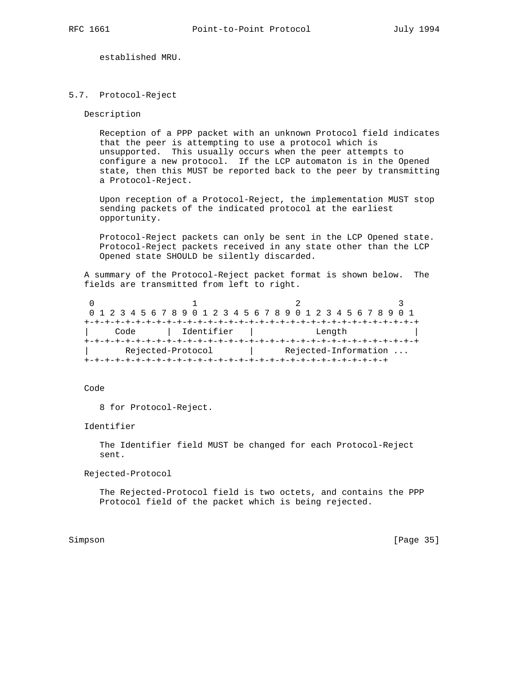established MRU.

5.7. Protocol-Reject

Description

 Reception of a PPP packet with an unknown Protocol field indicates that the peer is attempting to use a protocol which is unsupported. This usually occurs when the peer attempts to configure a new protocol. If the LCP automaton is in the Opened state, then this MUST be reported back to the peer by transmitting a Protocol-Reject.

 Upon reception of a Protocol-Reject, the implementation MUST stop sending packets of the indicated protocol at the earliest opportunity.

 Protocol-Reject packets can only be sent in the LCP Opened state. Protocol-Reject packets received in any state other than the LCP Opened state SHOULD be silently discarded.

 A summary of the Protocol-Reject packet format is shown below. The fields are transmitted from left to right.

| 0 1 2 3 4 5 6 7 8 9 0 1 2 3 4 5 6 7 8 9 0 1 2 3 4 5 6 7 8 9 0 1 |  |  |            |  |  |  |  |  |                      |  |  |  |  |
|-----------------------------------------------------------------|--|--|------------|--|--|--|--|--|----------------------|--|--|--|--|
|                                                                 |  |  |            |  |  |  |  |  |                      |  |  |  |  |
| Code                                                            |  |  | Identifier |  |  |  |  |  | Length               |  |  |  |  |
|                                                                 |  |  |            |  |  |  |  |  |                      |  |  |  |  |
| Rejected-Protocol                                               |  |  |            |  |  |  |  |  | Rejected-Information |  |  |  |  |
|                                                                 |  |  |            |  |  |  |  |  |                      |  |  |  |  |

Code

8 for Protocol-Reject.

Identifier

 The Identifier field MUST be changed for each Protocol-Reject sent.

Rejected-Protocol

 The Rejected-Protocol field is two octets, and contains the PPP Protocol field of the packet which is being rejected.

Simpson [Page 35]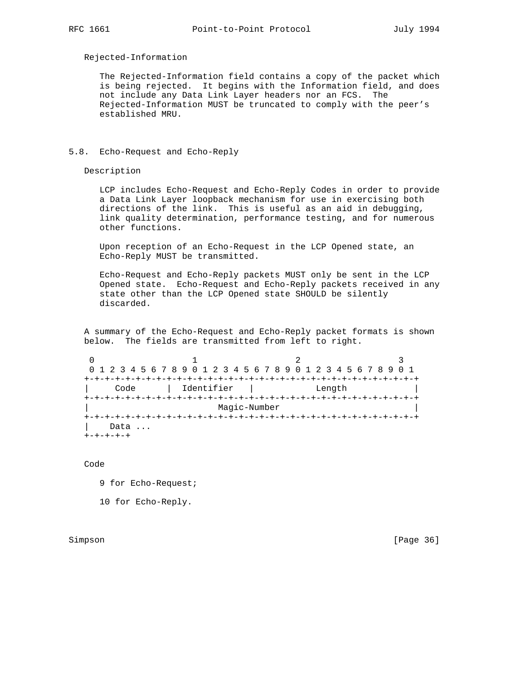### Rejected-Information

 The Rejected-Information field contains a copy of the packet which is being rejected. It begins with the Information field, and does not include any Data Link Layer headers nor an FCS. The Rejected-Information MUST be truncated to comply with the peer's established MRU.

# 5.8. Echo-Request and Echo-Reply

Description

 LCP includes Echo-Request and Echo-Reply Codes in order to provide a Data Link Layer loopback mechanism for use in exercising both directions of the link. This is useful as an aid in debugging, link quality determination, performance testing, and for numerous other functions.

 Upon reception of an Echo-Request in the LCP Opened state, an Echo-Reply MUST be transmitted.

 Echo-Request and Echo-Reply packets MUST only be sent in the LCP Opened state. Echo-Request and Echo-Reply packets received in any state other than the LCP Opened state SHOULD be silently discarded.

 A summary of the Echo-Request and Echo-Reply packet formats is shown below. The fields are transmitted from left to right.

|      |            | 0 1 2 3 4 5 6 7 8 9 0 1 2 3 4 5 6 7 8 9 0 1 2 3 4 5 6 7 8 9 0 1 |  |
|------|------------|-----------------------------------------------------------------|--|
|      |            |                                                                 |  |
| Code | Identifier | Length                                                          |  |
|      |            |                                                                 |  |
|      |            | Magic-Number                                                    |  |
|      |            | +-+-+-+-+-+-+-+-+-+-+-+-+-+-+-+-+-+                             |  |
| Data |            |                                                                 |  |
|      |            |                                                                 |  |

#### Code

- 9 for Echo-Request;
- 10 for Echo-Reply.

Simpson [Page 36]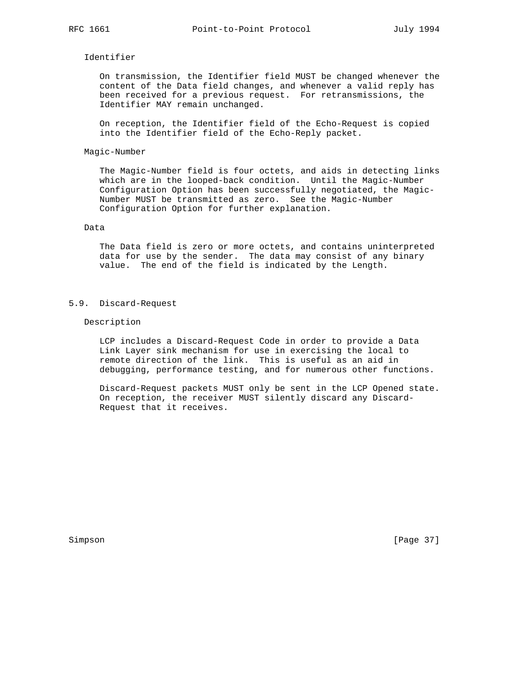# Identifier

 On transmission, the Identifier field MUST be changed whenever the content of the Data field changes, and whenever a valid reply has been received for a previous request. For retransmissions, the Identifier MAY remain unchanged.

 On reception, the Identifier field of the Echo-Request is copied into the Identifier field of the Echo-Reply packet.

# Magic-Number

 The Magic-Number field is four octets, and aids in detecting links which are in the looped-back condition. Until the Magic-Number Configuration Option has been successfully negotiated, the Magic- Number MUST be transmitted as zero. See the Magic-Number Configuration Option for further explanation.

# Data

 The Data field is zero or more octets, and contains uninterpreted data for use by the sender. The data may consist of any binary value. The end of the field is indicated by the Length.

# 5.9. Discard-Request

# Description

 LCP includes a Discard-Request Code in order to provide a Data Link Layer sink mechanism for use in exercising the local to remote direction of the link. This is useful as an aid in debugging, performance testing, and for numerous other functions.

 Discard-Request packets MUST only be sent in the LCP Opened state. On reception, the receiver MUST silently discard any Discard- Request that it receives.

Simpson [Page 37]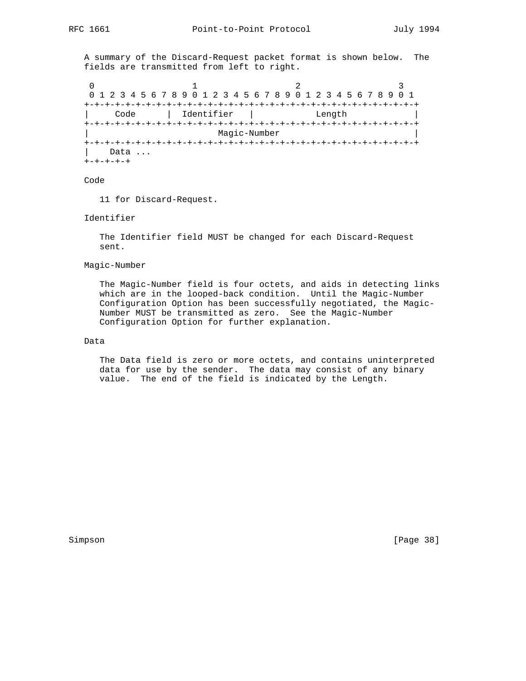A summary of the Discard-Request packet format is shown below. The fields are transmitted from left to right.

0  $1$  2 3 0 1 2 3 4 5 6 7 8 9 0 1 2 3 4 5 6 7 8 9 0 1 2 3 4 5 6 7 8 9 0 1 +-+-+-+-+-+-+-+-+-+-+-+-+-+-+-+-+-+-+-+-+-+-+-+-+-+-+-+-+-+-+-+-+ | Code | Identifier | Length | +-+-+-+-+-+-+-+-+-+-+-+-+-+-+-+-+-+-+-+-+-+-+-+-+-+-+-+-+-+-+-+-+ Magic-Number +-+-+-+-+-+-+-+-+-+-+-+-+-+-+-+-+-+-+-+-+-+-+-+-+-+-+-+-+-+-+-+-+ Data ... +-+-+-+-+

Code

11 for Discard-Request.

Identifier

 The Identifier field MUST be changed for each Discard-Request sent.

Magic-Number

 The Magic-Number field is four octets, and aids in detecting links which are in the looped-back condition. Until the Magic-Number Configuration Option has been successfully negotiated, the Magic- Number MUST be transmitted as zero. See the Magic-Number Configuration Option for further explanation.

# Data

 The Data field is zero or more octets, and contains uninterpreted data for use by the sender. The data may consist of any binary value. The end of the field is indicated by the Length.

Simpson [Page 38]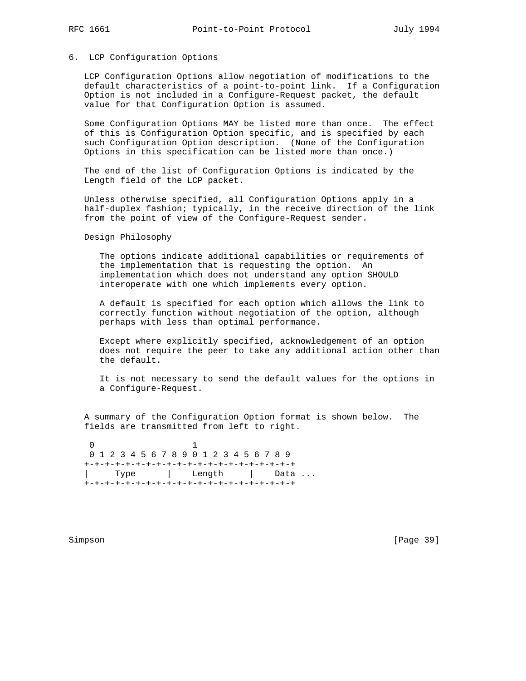### 6. LCP Configuration Options

 LCP Configuration Options allow negotiation of modifications to the default characteristics of a point-to-point link. If a Configuration Option is not included in a Configure-Request packet, the default value for that Configuration Option is assumed.

 Some Configuration Options MAY be listed more than once. The effect of this is Configuration Option specific, and is specified by each such Configuration Option description. (None of the Configuration Options in this specification can be listed more than once.)

 The end of the list of Configuration Options is indicated by the Length field of the LCP packet.

 Unless otherwise specified, all Configuration Options apply in a half-duplex fashion; typically, in the receive direction of the link from the point of view of the Configure-Request sender.

Design Philosophy

 The options indicate additional capabilities or requirements of the implementation that is requesting the option. An implementation which does not understand any option SHOULD interoperate with one which implements every option.

 A default is specified for each option which allows the link to correctly function without negotiation of the option, although perhaps with less than optimal performance.

 Except where explicitly specified, acknowledgement of an option does not require the peer to take any additional action other than the default.

 It is not necessary to send the default values for the options in a Configure-Request.

 A summary of the Configuration Option format is shown below. The fields are transmitted from left to right.

 0 1 0 1 2 3 4 5 6 7 8 9 0 1 2 3 4 5 6 7 8 9 +-+-+-+-+-+-+-+-+-+-+-+-+-+-+-+-+-+-+-+-+ | Type | Length | Data ... +-+-+-+-+-+-+-+-+-+-+-+-+-+-+-+-+-+-+-+-+

Simpson [Page 39]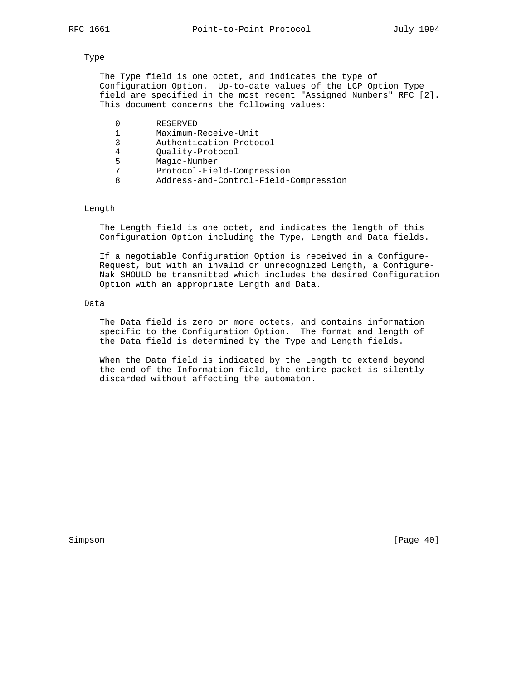# Type

 The Type field is one octet, and indicates the type of Configuration Option. Up-to-date values of the LCP Option Type field are specified in the most recent "Assigned Numbers" RFC [2]. This document concerns the following values:

|   | RESERVED                              |
|---|---------------------------------------|
|   | Maximum-Receive-Unit                  |
| 3 | Authentication-Protocol               |
|   | Ouality-Protocol                      |
| 5 | Magic-Number                          |
| 7 | Protocol-Field-Compression            |
| я | Address-and-Control-Field-Compression |

# Length

 The Length field is one octet, and indicates the length of this Configuration Option including the Type, Length and Data fields.

 If a negotiable Configuration Option is received in a Configure- Request, but with an invalid or unrecognized Length, a Configure- Nak SHOULD be transmitted which includes the desired Configuration Option with an appropriate Length and Data.

# Data

 The Data field is zero or more octets, and contains information specific to the Configuration Option. The format and length of the Data field is determined by the Type and Length fields.

 When the Data field is indicated by the Length to extend beyond the end of the Information field, the entire packet is silently discarded without affecting the automaton.

Simpson [Page 40]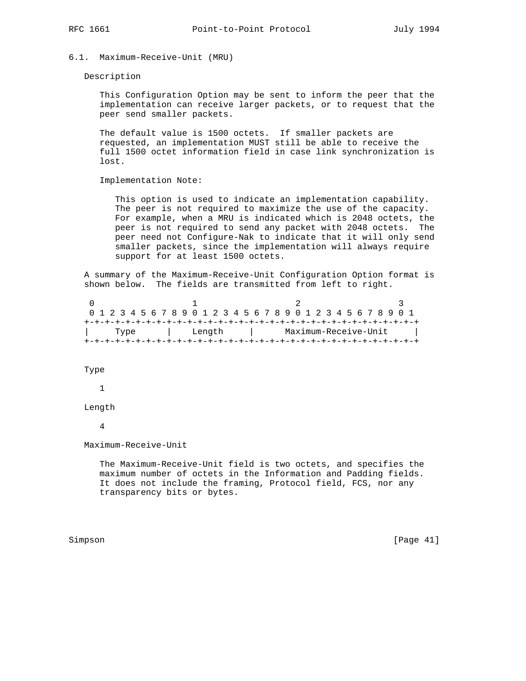# 6.1. Maximum-Receive-Unit (MRU)

Description

 This Configuration Option may be sent to inform the peer that the implementation can receive larger packets, or to request that the peer send smaller packets.

 The default value is 1500 octets. If smaller packets are requested, an implementation MUST still be able to receive the full 1500 octet information field in case link synchronization is lost.

Implementation Note:

 This option is used to indicate an implementation capability. The peer is not required to maximize the use of the capacity. For example, when a MRU is indicated which is 2048 octets, the peer is not required to send any packet with 2048 octets. The peer need not Configure-Nak to indicate that it will only send smaller packets, since the implementation will always require support for at least 1500 octets.

 A summary of the Maximum-Receive-Unit Configuration Option format is shown below. The fields are transmitted from left to right.

| 0 1 2 3 4 5 6 7 8 9 0 1 2 3 4 5 6 7 8 9 0 1 2 3 4 5 6 7 8 9 0 1 |  |  |  |  |  |  |                      |  |  |  |  |  |  |  |  |  |  |  |  |  |  |  |  |
|-----------------------------------------------------------------|--|--|--|--|--|--|----------------------|--|--|--|--|--|--|--|--|--|--|--|--|--|--|--|--|
|                                                                 |  |  |  |  |  |  |                      |  |  |  |  |  |  |  |  |  |  |  |  |  |  |  |  |
| Lenath<br>Type                                                  |  |  |  |  |  |  | Maximum-Receive-Unit |  |  |  |  |  |  |  |  |  |  |  |  |  |  |  |  |
|                                                                 |  |  |  |  |  |  |                      |  |  |  |  |  |  |  |  |  |  |  |  |  |  |  |  |

Type

1

Length

4

Maximum-Receive-Unit

 The Maximum-Receive-Unit field is two octets, and specifies the maximum number of octets in the Information and Padding fields. It does not include the framing, Protocol field, FCS, nor any transparency bits or bytes.

Simpson [Page 41]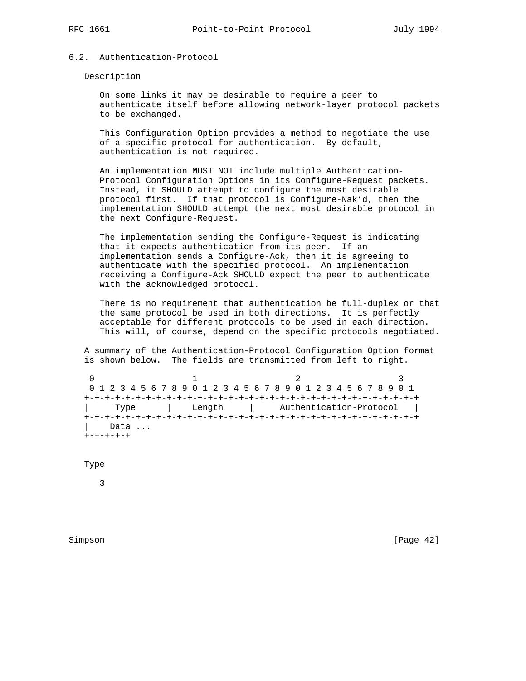# 6.2. Authentication-Protocol

Description

 On some links it may be desirable to require a peer to authenticate itself before allowing network-layer protocol packets to be exchanged.

 This Configuration Option provides a method to negotiate the use of a specific protocol for authentication. By default, authentication is not required.

 An implementation MUST NOT include multiple Authentication- Protocol Configuration Options in its Configure-Request packets. Instead, it SHOULD attempt to configure the most desirable protocol first. If that protocol is Configure-Nak'd, then the implementation SHOULD attempt the next most desirable protocol in the next Configure-Request.

 The implementation sending the Configure-Request is indicating that it expects authentication from its peer. If an implementation sends a Configure-Ack, then it is agreeing to authenticate with the specified protocol. An implementation receiving a Configure-Ack SHOULD expect the peer to authenticate with the acknowledged protocol.

 There is no requirement that authentication be full-duplex or that the same protocol be used in both directions. It is perfectly acceptable for different protocols to be used in each direction. This will, of course, depend on the specific protocols negotiated.

 A summary of the Authentication-Protocol Configuration Option format is shown below. The fields are transmitted from left to right.

0  $1$  2 3 0 1 2 3 4 5 6 7 8 9 0 1 2 3 4 5 6 7 8 9 0 1 2 3 4 5 6 7 8 9 0 1 +-+-+-+-+-+-+-+-+-+-+-+-+-+-+-+-+-+-+-+-+-+-+-+-+-+-+-+-+-+-+-+-+ | Type | Length | Authentication-Protocol | +-+-+-+-+-+-+-+-+-+-+-+-+-+-+-+-+-+-+-+-+-+-+-+-+-+-+-+-+-+-+-+-+ Data ... +-+-+-+-+

Type

3

Simpson [Page 42]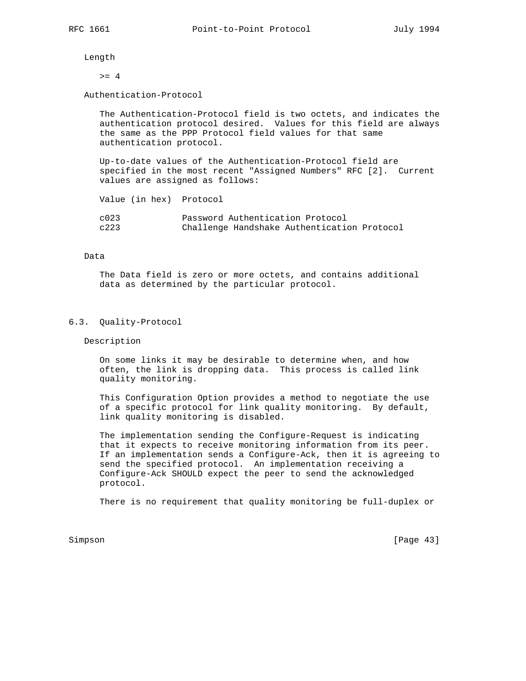Length

 $>= 4$ 

#### Authentication-Protocol

 The Authentication-Protocol field is two octets, and indicates the authentication protocol desired. Values for this field are always the same as the PPP Protocol field values for that same authentication protocol.

 Up-to-date values of the Authentication-Protocol field are specified in the most recent "Assigned Numbers" RFC [2]. Current values are assigned as follows:

Value (in hex) Protocol

| C <sub>0</sub> 23 | Password Authentication Protocol            |
|-------------------|---------------------------------------------|
| C <sub>223</sub>  | Challenge Handshake Authentication Protocol |

#### Data

 The Data field is zero or more octets, and contains additional data as determined by the particular protocol.

#### 6.3. Quality-Protocol

Description

 On some links it may be desirable to determine when, and how often, the link is dropping data. This process is called link quality monitoring.

 This Configuration Option provides a method to negotiate the use of a specific protocol for link quality monitoring. By default, link quality monitoring is disabled.

 The implementation sending the Configure-Request is indicating that it expects to receive monitoring information from its peer. If an implementation sends a Configure-Ack, then it is agreeing to send the specified protocol. An implementation receiving a Configure-Ack SHOULD expect the peer to send the acknowledged protocol.

There is no requirement that quality monitoring be full-duplex or

Simpson [Page 43]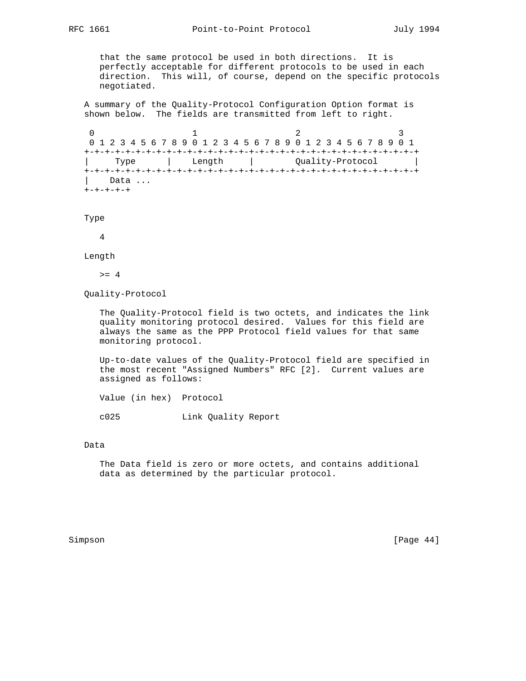that the same protocol be used in both directions. It is perfectly acceptable for different protocols to be used in each direction. This will, of course, depend on the specific protocols negotiated.

 A summary of the Quality-Protocol Configuration Option format is shown below. The fields are transmitted from left to right.

0  $1$  2 3 0 1 2 3 4 5 6 7 8 9 0 1 2 3 4 5 6 7 8 9 0 1 2 3 4 5 6 7 8 9 0 1 +-+-+-+-+-+-+-+-+-+-+-+-+-+-+-+-+-+-+-+-+-+-+-+-+-+-+-+-+-+-+-+-+ | Type | Length | Quality-Protocol | +-+-+-+-+-+-+-+-+-+-+-+-+-+-+-+-+-+-+-+-+-+-+-+-+-+-+-+-+-+-+-+-+ Data ... +-+-+-+-+

Type

4

Length

 $>= 4$ 

Quality-Protocol

 The Quality-Protocol field is two octets, and indicates the link quality monitoring protocol desired. Values for this field are always the same as the PPP Protocol field values for that same monitoring protocol.

 Up-to-date values of the Quality-Protocol field are specified in the most recent "Assigned Numbers" RFC [2]. Current values are assigned as follows:

Value (in hex) Protocol

c025 Link Quality Report

Data

 The Data field is zero or more octets, and contains additional data as determined by the particular protocol.

Simpson [Page 44]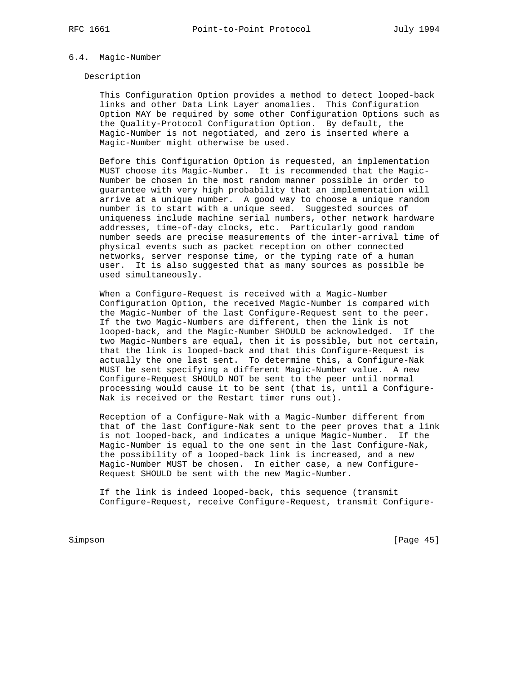# 6.4. Magic-Number

#### Description

 This Configuration Option provides a method to detect looped-back links and other Data Link Layer anomalies. This Configuration Option MAY be required by some other Configuration Options such as the Quality-Protocol Configuration Option. By default, the Magic-Number is not negotiated, and zero is inserted where a Magic-Number might otherwise be used.

 Before this Configuration Option is requested, an implementation MUST choose its Magic-Number. It is recommended that the Magic- Number be chosen in the most random manner possible in order to guarantee with very high probability that an implementation will arrive at a unique number. A good way to choose a unique random number is to start with a unique seed. Suggested sources of uniqueness include machine serial numbers, other network hardware addresses, time-of-day clocks, etc. Particularly good random number seeds are precise measurements of the inter-arrival time of physical events such as packet reception on other connected networks, server response time, or the typing rate of a human user. It is also suggested that as many sources as possible be used simultaneously.

 When a Configure-Request is received with a Magic-Number Configuration Option, the received Magic-Number is compared with the Magic-Number of the last Configure-Request sent to the peer. If the two Magic-Numbers are different, then the link is not looped-back, and the Magic-Number SHOULD be acknowledged. If the two Magic-Numbers are equal, then it is possible, but not certain, that the link is looped-back and that this Configure-Request is actually the one last sent. To determine this, a Configure-Nak MUST be sent specifying a different Magic-Number value. A new Configure-Request SHOULD NOT be sent to the peer until normal processing would cause it to be sent (that is, until a Configure- Nak is received or the Restart timer runs out).

 Reception of a Configure-Nak with a Magic-Number different from that of the last Configure-Nak sent to the peer proves that a link is not looped-back, and indicates a unique Magic-Number. If the Magic-Number is equal to the one sent in the last Configure-Nak, the possibility of a looped-back link is increased, and a new Magic-Number MUST be chosen. In either case, a new Configure- Request SHOULD be sent with the new Magic-Number.

 If the link is indeed looped-back, this sequence (transmit Configure-Request, receive Configure-Request, transmit Configure-

Simpson [Page 45]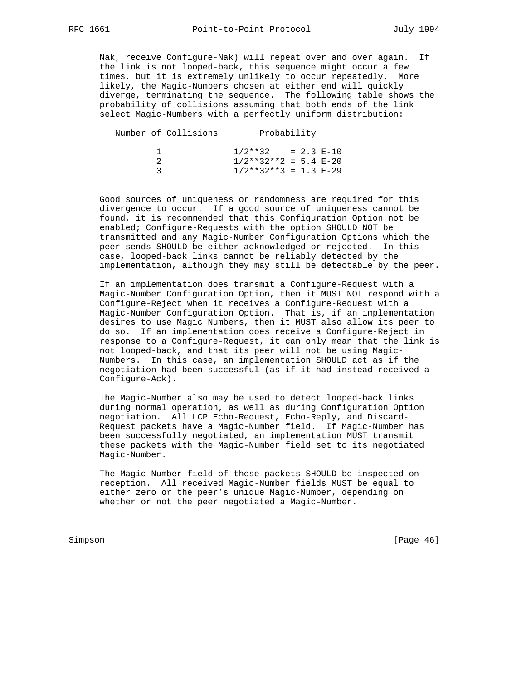Nak, receive Configure-Nak) will repeat over and over again. If the link is not looped-back, this sequence might occur a few times, but it is extremely unlikely to occur repeatedly. More likely, the Magic-Numbers chosen at either end will quickly diverge, terminating the sequence. The following table shows the probability of collisions assuming that both ends of the link select Magic-Numbers with a perfectly uniform distribution:

| Number of Collisions | Probability                                                                  |  |
|----------------------|------------------------------------------------------------------------------|--|
|                      | $1/2**32 = 2.3 E-10$<br>$1/2$ **32**2 = 5.4 E-20<br>$1/2$ **32**3 = 1.3 E-29 |  |

 Good sources of uniqueness or randomness are required for this divergence to occur. If a good source of uniqueness cannot be found, it is recommended that this Configuration Option not be enabled; Configure-Requests with the option SHOULD NOT be transmitted and any Magic-Number Configuration Options which the peer sends SHOULD be either acknowledged or rejected. In this case, looped-back links cannot be reliably detected by the implementation, although they may still be detectable by the peer.

 If an implementation does transmit a Configure-Request with a Magic-Number Configuration Option, then it MUST NOT respond with a Configure-Reject when it receives a Configure-Request with a Magic-Number Configuration Option. That is, if an implementation desires to use Magic Numbers, then it MUST also allow its peer to do so. If an implementation does receive a Configure-Reject in response to a Configure-Request, it can only mean that the link is not looped-back, and that its peer will not be using Magic- Numbers. In this case, an implementation SHOULD act as if the negotiation had been successful (as if it had instead received a Configure-Ack).

 The Magic-Number also may be used to detect looped-back links during normal operation, as well as during Configuration Option negotiation. All LCP Echo-Request, Echo-Reply, and Discard- Request packets have a Magic-Number field. If Magic-Number has been successfully negotiated, an implementation MUST transmit these packets with the Magic-Number field set to its negotiated Magic-Number.

 The Magic-Number field of these packets SHOULD be inspected on reception. All received Magic-Number fields MUST be equal to either zero or the peer's unique Magic-Number, depending on whether or not the peer negotiated a Magic-Number.

Simpson [Page 46]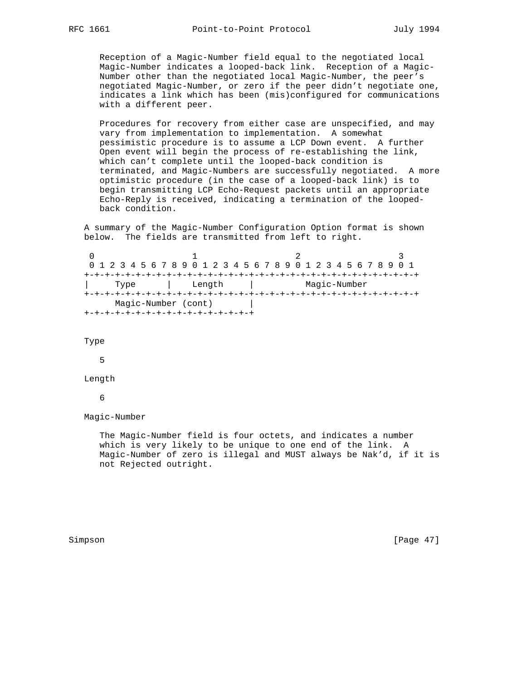Reception of a Magic-Number field equal to the negotiated local Magic-Number indicates a looped-back link. Reception of a Magic- Number other than the negotiated local Magic-Number, the peer's negotiated Magic-Number, or zero if the peer didn't negotiate one, indicates a link which has been (mis)configured for communications with a different peer.

 Procedures for recovery from either case are unspecified, and may vary from implementation to implementation. A somewhat pessimistic procedure is to assume a LCP Down event. A further Open event will begin the process of re-establishing the link, which can't complete until the looped-back condition is terminated, and Magic-Numbers are successfully negotiated. A more optimistic procedure (in the case of a looped-back link) is to begin transmitting LCP Echo-Request packets until an appropriate Echo-Reply is received, indicating a termination of the looped back condition.

 A summary of the Magic-Number Configuration Option format is shown below. The fields are transmitted from left to right.

0  $1$  2 3 0 1 2 3 4 5 6 7 8 9 0 1 2 3 4 5 6 7 8 9 0 1 2 3 4 5 6 7 8 9 0 1 +-+-+-+-+-+-+-+-+-+-+-+-+-+-+-+-+-+-+-+-+-+-+-+-+-+-+-+-+-+-+-+-+ | Type | Length | Magic-Number +-+-+-+-+-+-+-+-+-+-+-+-+-+-+-+-+-+-+-+-+-+-+-+-+-+-+-+-+-+-+-+-+ Magic-Number (cont) | +-+-+-+-+-+-+-+-+-+-+-+-+-+-+-+-+

Type

5

Length

#### 6

Magic-Number

 The Magic-Number field is four octets, and indicates a number which is very likely to be unique to one end of the link. A Magic-Number of zero is illegal and MUST always be Nak'd, if it is not Rejected outright.

Simpson [Page 47]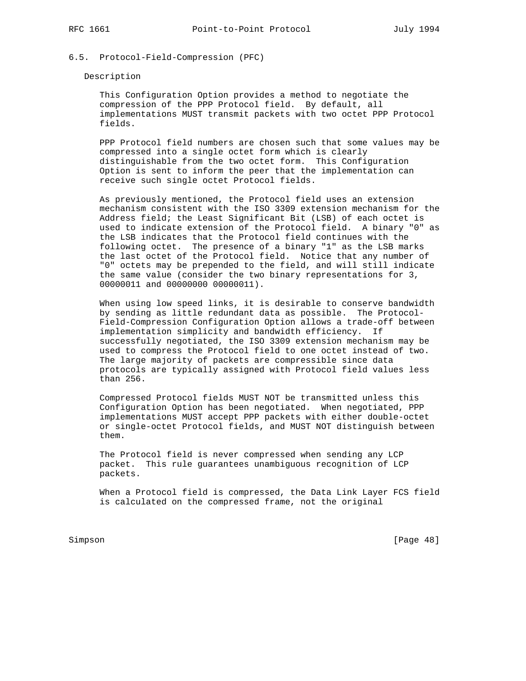#### 6.5. Protocol-Field-Compression (PFC)

Description

 This Configuration Option provides a method to negotiate the compression of the PPP Protocol field. By default, all implementations MUST transmit packets with two octet PPP Protocol fields.

 PPP Protocol field numbers are chosen such that some values may be compressed into a single octet form which is clearly distinguishable from the two octet form. This Configuration Option is sent to inform the peer that the implementation can receive such single octet Protocol fields.

 As previously mentioned, the Protocol field uses an extension mechanism consistent with the ISO 3309 extension mechanism for the Address field; the Least Significant Bit (LSB) of each octet is used to indicate extension of the Protocol field. A binary "0" as the LSB indicates that the Protocol field continues with the following octet. The presence of a binary "1" as the LSB marks the last octet of the Protocol field. Notice that any number of "0" octets may be prepended to the field, and will still indicate the same value (consider the two binary representations for 3, 00000011 and 00000000 00000011).

 When using low speed links, it is desirable to conserve bandwidth by sending as little redundant data as possible. The Protocol- Field-Compression Configuration Option allows a trade-off between implementation simplicity and bandwidth efficiency. If successfully negotiated, the ISO 3309 extension mechanism may be used to compress the Protocol field to one octet instead of two. The large majority of packets are compressible since data protocols are typically assigned with Protocol field values less than 256.

 Compressed Protocol fields MUST NOT be transmitted unless this Configuration Option has been negotiated. When negotiated, PPP implementations MUST accept PPP packets with either double-octet or single-octet Protocol fields, and MUST NOT distinguish between them.

 The Protocol field is never compressed when sending any LCP packet. This rule guarantees unambiguous recognition of LCP packets.

 When a Protocol field is compressed, the Data Link Layer FCS field is calculated on the compressed frame, not the original

Simpson [Page 48]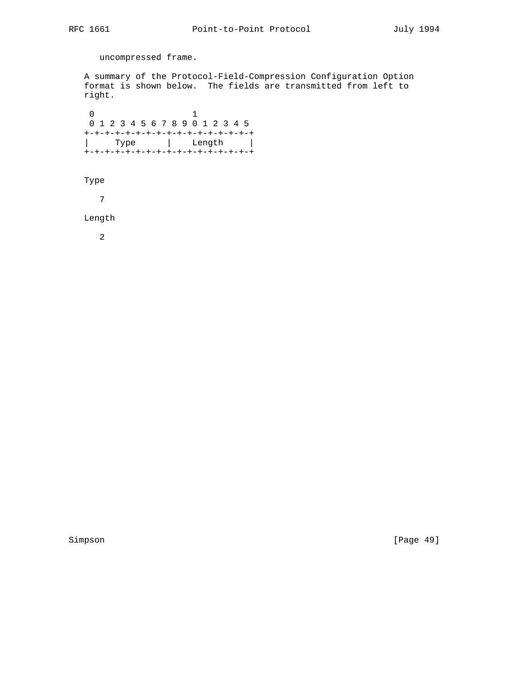uncompressed frame.

 A summary of the Protocol-Field-Compression Configuration Option format is shown below. The fields are transmitted from left to right.

 0 1 0 1 2 3 4 5 6 7 8 9 0 1 2 3 4 5 +-+-+-+-+-+-+-+-+-+-+-+-+-+-+-+-+ | Type | Length | +-+-+-+-+-+-+-+-+-+-+-+-+-+-+-+-+

Type

7

Length

2

Simpson [Page 49]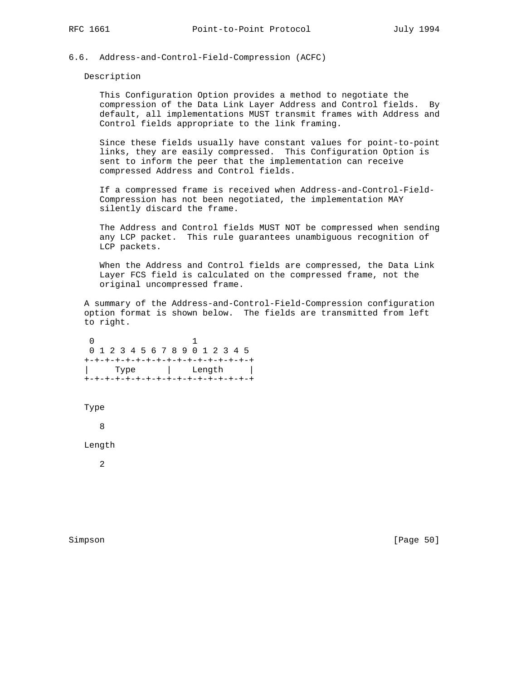# 6.6. Address-and-Control-Field-Compression (ACFC)

Description

 This Configuration Option provides a method to negotiate the compression of the Data Link Layer Address and Control fields. By default, all implementations MUST transmit frames with Address and Control fields appropriate to the link framing.

 Since these fields usually have constant values for point-to-point links, they are easily compressed. This Configuration Option is sent to inform the peer that the implementation can receive compressed Address and Control fields.

 If a compressed frame is received when Address-and-Control-Field- Compression has not been negotiated, the implementation MAY silently discard the frame.

 The Address and Control fields MUST NOT be compressed when sending any LCP packet. This rule guarantees unambiguous recognition of LCP packets.

 When the Address and Control fields are compressed, the Data Link Layer FCS field is calculated on the compressed frame, not the original uncompressed frame.

 A summary of the Address-and-Control-Field-Compression configuration option format is shown below. The fields are transmitted from left to right.

 0 1 0 1 2 3 4 5 6 7 8 9 0 1 2 3 4 5 +-+-+-+-+-+-+-+-+-+-+-+-+-+-+-+-+ | Type | Length | +-+-+-+-+-+-+-+-+-+-+-+-+-+-+-+-+

Type

8

Length

2

Simpson [Page 50]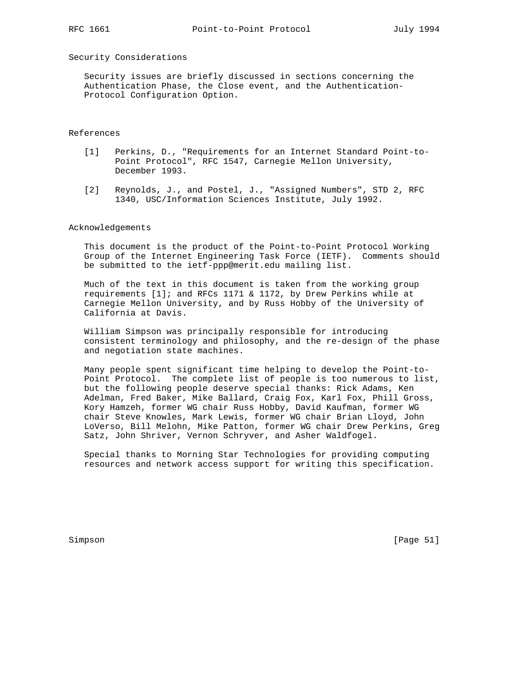# Security Considerations

 Security issues are briefly discussed in sections concerning the Authentication Phase, the Close event, and the Authentication- Protocol Configuration Option.

#### References

- [1] Perkins, D., "Requirements for an Internet Standard Point-to- Point Protocol", RFC 1547, Carnegie Mellon University, December 1993.
- [2] Reynolds, J., and Postel, J., "Assigned Numbers", STD 2, RFC 1340, USC/Information Sciences Institute, July 1992.

# Acknowledgements

 This document is the product of the Point-to-Point Protocol Working Group of the Internet Engineering Task Force (IETF). Comments should be submitted to the ietf-ppp@merit.edu mailing list.

 Much of the text in this document is taken from the working group requirements [1]; and RFCs 1171 & 1172, by Drew Perkins while at Carnegie Mellon University, and by Russ Hobby of the University of California at Davis.

 William Simpson was principally responsible for introducing consistent terminology and philosophy, and the re-design of the phase and negotiation state machines.

 Many people spent significant time helping to develop the Point-to- Point Protocol. The complete list of people is too numerous to list, but the following people deserve special thanks: Rick Adams, Ken Adelman, Fred Baker, Mike Ballard, Craig Fox, Karl Fox, Phill Gross, Kory Hamzeh, former WG chair Russ Hobby, David Kaufman, former WG chair Steve Knowles, Mark Lewis, former WG chair Brian Lloyd, John LoVerso, Bill Melohn, Mike Patton, former WG chair Drew Perkins, Greg Satz, John Shriver, Vernon Schryver, and Asher Waldfogel.

 Special thanks to Morning Star Technologies for providing computing resources and network access support for writing this specification.

Simpson [Page 51]